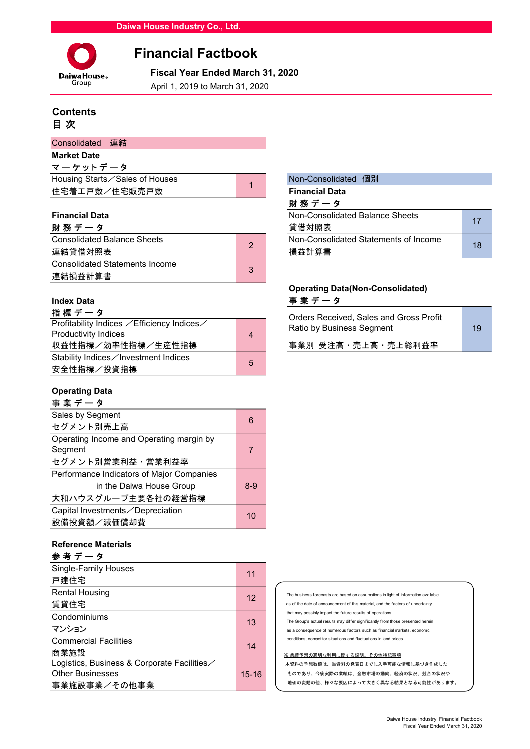

# Financial Factbook

**Daiwa House Fiscal Year Ended March 31, 2020**<br>Group **Angle 1, 2019 to March 31, 2020** 

April 1, 2019 to March 31, 2020

# **Contents** 目 次

| Consolidated 連結                |                       |
|--------------------------------|-----------------------|
| <b>Market Date</b>             |                       |
| マーケットデータ                       |                       |
| Housing Starts∕Sales of Houses | Non-Consolidated 個別   |
| 住宅着工戸数/住宅販売戸数                  | <b>Financial Data</b> |
|                                | 財 務 デ ー タ             |

## **Financial Data**

| 財務データ                              | 貸借対照表 |                                       |  |  |  |
|------------------------------------|-------|---------------------------------------|--|--|--|
| <b>Consolidated Balance Sheets</b> | っ     | Non-Consolidated Statements of Income |  |  |  |
| 連結貸借対照表                            |       | 損益計算書                                 |  |  |  |
| Consolidated Statements Income     | 3     |                                       |  |  |  |
| 連結損益計算書                            |       |                                       |  |  |  |

# 指 標 デ ー タ

| Profitability Indices ∕Efficiency Indices∕ |   | <u>Ulucis INcuciveu, Jaics and Uluss Fibili</u><br>Ratio by Business Segment | 19 |
|--------------------------------------------|---|------------------------------------------------------------------------------|----|
| Productivity Indices                       | 4 |                                                                              |    |
| 収益性指標/効率性指標/生産性指標                          |   | 事業別 受注高·売上高·売上総利益率                                                           |    |
| Stability Indices∕Investment Indices       | 5 |                                                                              |    |
| 安全性指標/投資指標                                 |   |                                                                              |    |

## Operating Data

| 事業データ                                     |       |
|-------------------------------------------|-------|
| Sales by Segment                          | 6     |
| セグメント別売上高                                 |       |
| Operating Income and Operating margin by  |       |
| Segment                                   | 7     |
| セグメント別営業利益・営業利益率                          |       |
| Performance Indicators of Major Companies |       |
| in the Daiwa House Group                  | $8-9$ |
| 大和ハウスグループ主要各社の経営指標                        |       |
| Capital Investments / Depreciation        | 10    |
| 設備投資額/減価償却費                               |       |
|                                           |       |

## Reference Materials

| Single-Family Houses<br>戸建住宅                                                          | 11        |
|---------------------------------------------------------------------------------------|-----------|
| <b>Rental Housing</b><br>賃貸住宅                                                         | 12        |
| Condominiums<br>マンション                                                                 | 13        |
| <b>Commercial Facilities</b><br>商業施設                                                  | 14        |
| Logistics, Business & Corporate Facilities<br><b>Other Businesses</b><br>事業施設事業/その他事業 | $15 - 16$ |

| 1              | Non-Consolidated 個別                   |    |
|----------------|---------------------------------------|----|
|                | <b>Financial Data</b>                 |    |
|                | 財務データ                                 |    |
|                | Non-Consolidated Balance Sheets       | 17 |
|                | 貸借対照表                                 |    |
| $\overline{2}$ | Non-Consolidated Statements of Income | 18 |
|                | 損益計算書                                 |    |

# Operating Data(Non-Consolidated) Index Data **with the Contract of Table 1** and Table 1 and Table 1 and Table 1 and Table 1 and Table 1 and Table

| Orders Received. Sales and Gross Profit<br>Ratio by Business Segment | 19 |  |
|----------------------------------------------------------------------|----|--|
| 事業別 受注高・売上高・売上総利益率                                                   |    |  |
|                                                                      |    |  |

| The business forecasts are based on assumptions in light of information available |
|-----------------------------------------------------------------------------------|
| as of the date of announcement of this material, and the factors of uncertainty   |
| that may possibly impact the future results of operations.                        |
| The Group's actual results may differ significantly from those presented herein   |
| as a consequence of numerous factors such as financial markets, economic          |
| conditions, competitor situations and fluctuations in land prices.                |
|                                                                                   |
| ※ 業績予想の適切な利用に関する説明、その他特記事項                                                        |
| 本資料の予想数値は、当資料の発表日までに入手可能な情報に基づき作成した                                               |
| ものであり、今後実際の業績は、金融市場の動向、経済の状況、競合の状況や                                               |
| 地価の変動の他、様々な要因によって大きく異なる結果となる可能性があります。                                             |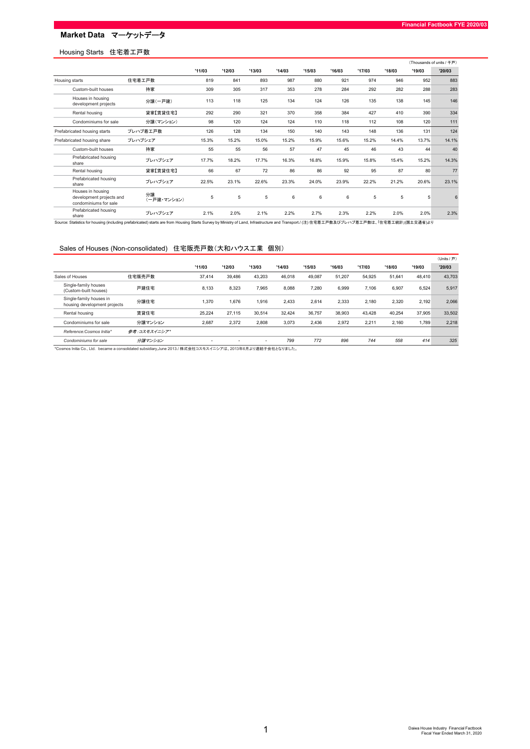## Housing Starts 住宅着工戸数

|                                                                        |                   |        |        |        |        |        |        |        |        |        | (Thousands of units / 千戸) |
|------------------------------------------------------------------------|-------------------|--------|--------|--------|--------|--------|--------|--------|--------|--------|---------------------------|
|                                                                        |                   | '11/03 | '12/03 | '13/03 | '14/03 | '15/03 | '16/03 | '17/03 | '18/03 | '19/03 | '20/03                    |
| Housing starts                                                         | 住宅着工戸数            | 819    | 841    | 893    | 987    | 880    | 921    | 974    | 946    | 952    | 883                       |
| Custom-built houses                                                    | 持家                | 309    | 305    | 317    | 353    | 278    | 284    | 292    | 282    | 288    | 283                       |
| Houses in housing<br>development projects                              | 分譲(一戸建)           | 113    | 118    | 125    | 134    | 124    | 126    | 135    | 138    | 145    | 146                       |
| Rental housing                                                         | 貸家【賃貸住宅】          | 292    | 290    | 321    | 370    | 358    | 384    | 427    | 410    | 390    | 334                       |
| Condominiums for sale                                                  | 分譲(マンション)         | 98     | 120    | 124    | 124    | 110    | 118    | 112    | 108    | 120    | 111                       |
| Prefabricated housing starts                                           | プレハブ着エ戸数          | 126    | 128    | 134    | 150    | 140    | 143    | 148    | 136    | 131    | 124                       |
| Prefabricated housing share                                            | プレハブシェア           | 15.3%  | 15.2%  | 15.0%  | 15.2%  | 15.9%  | 15.6%  | 15.2%  | 14.4%  | 13.7%  | 14.1%                     |
| Custom-built houses                                                    | 持家                | 55     | 55     | 56     | 57     | 47     | 45     | 46     | 43     | 44     | 40                        |
| Prefabricated housing<br>share                                         | プレハブシェア           | 17.7%  | 18.2%  | 17.7%  | 16.3%  | 16.8%  | 15.9%  | 15.8%  | 15.4%  | 15.2%  | 14.3%                     |
| Rental housing                                                         | 貸家【賃貸住宅】          | 66     | 67     | 72     | 86     | 86     | 92     | 95     | 87     | 80     | 77                        |
| Prefabricated housing<br>share                                         | プレハブシェア           | 22.5%  | 23.1%  | 22.6%  | 23.3%  | 24.0%  | 23.9%  | 22.2%  | 21.2%  | 20.6%  | 23.1%                     |
| Houses in housing<br>development projects and<br>condominiums for sale | 分譲<br>(一戸建・マンション) | 5      | 5      | 5      | 6      | 6      | 6      | 5      | 5      | 5      | 6                         |
| Prefabricated housing<br>share                                         | プレハブシェア           | 2.1%   | 2.0%   | 2.1%   | 2.2%   | 2.7%   | 2.3%   | 2.2%   | 2.0%   | 2.0%   | 2.3%                      |

## Sales of Houses (Non-consolidated) 住宅販売戸数(大和ハウス工業 個別)

|                                                         |              |                          |                          |                          |        |        |        |        |        |        | $(Units / \overline{P})$ |
|---------------------------------------------------------|--------------|--------------------------|--------------------------|--------------------------|--------|--------|--------|--------|--------|--------|--------------------------|
|                                                         |              | '11/03                   | '12/03                   | '13/03                   | '14/03 | '15/03 | '16/03 | '17/03 | '18/03 | '19/03 | '20/03                   |
| Sales of Houses                                         | 住宅販売戸数       | 37.414                   | 39.486                   | 43,203                   | 46.018 | 49.087 | 51.207 | 54.925 | 51.641 | 48.410 | 43,703                   |
| Single-family houses<br>(Custom-built houses)           | 戸建住宅         | 8.133                    | 8,323                    | 7,965                    | 8,088  | 7,280  | 6,999  | 7.106  | 6,907  | 6,524  | 5,917                    |
| Single-family houses in<br>housing development projects | 分譲住宅         | 1.370                    | 1.676                    | 1.916                    | 2.433  | 2.614  | 2.333  | 2.180  | 2.320  | 2,192  | 2,066                    |
| Rental housing                                          | 賃貸住宅         | 25.224                   | 27.115                   | 30.514                   | 32.424 | 36,757 | 38,903 | 43.428 | 40.254 | 37,905 | 33,502                   |
| Condominiums for sale                                   | 分譲マンション      | 2,687                    | 2.372                    | 2,808                    | 3.073  | 2.436  | 2.972  | 2.211  | 2.160  | 1,789  | 2,218                    |
| Reference: Cosmos Initia*                               | 参考:コスモスイニシア* |                          |                          |                          |        |        |        |        |        |        |                          |
| Condominiums for sale                                   | 分譲マンション      | $\overline{\phantom{0}}$ | $\overline{\phantom{0}}$ | $\overline{\phantom{a}}$ | 799    | 772    | 896    | 744    | 558    | 414    | 325                      |

\*Cosmos Initia Co., Ltd. became a consolidated subsidiary,June 2013./ 株式会社コスモスイニシアは、2013年6月より連結子会社となりました。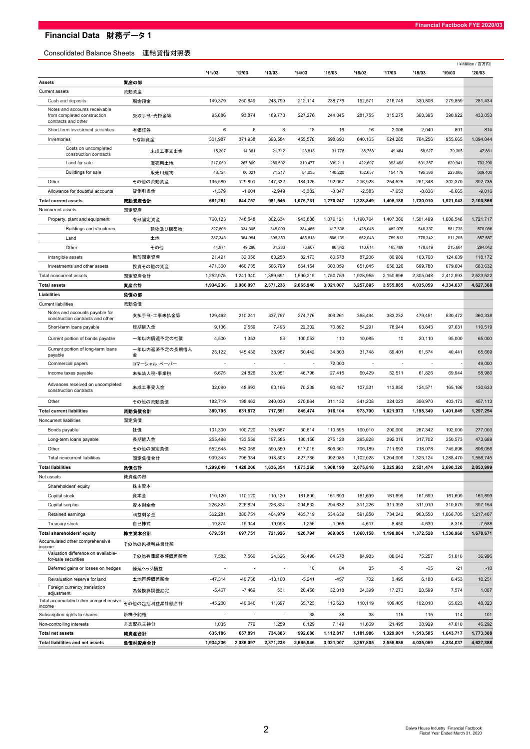**Financial Data 財務データ1** 

## Consolidated Balance Sheets 連結貸借対照表

|                                                              |                    | '11/03                   | '12/03                   | '13/03                   | '14/03    | '15/03    | '16/03                   | '17/03                   | '18/03                   | '19/03    | (¥Million/百万円)<br>'20/03 |
|--------------------------------------------------------------|--------------------|--------------------------|--------------------------|--------------------------|-----------|-----------|--------------------------|--------------------------|--------------------------|-----------|--------------------------|
| Assets                                                       | 資産の部               |                          |                          |                          |           |           |                          |                          |                          |           |                          |
| <b>Current assets</b>                                        | 流動資産               |                          |                          |                          |           |           |                          |                          |                          |           |                          |
| Cash and deposits                                            | 現金預金               | 149,379                  | 250,649                  | 248,799                  | 212,114   | 238,776   | 192,571                  | 216,749                  | 330,806                  | 279,859   | 281,434                  |
| Notes and accounts receivable                                |                    |                          |                          |                          |           |           |                          |                          |                          |           |                          |
| from completed construction<br>contracts and other           | 受取手形·売掛金等          | 95,686                   | 93,874                   | 189,770                  | 227,276   | 244.045   | 281,755                  | 315.275                  | 360,395                  | 390,922   | 433.053                  |
| Short-term investment securities                             | 有価証券               | 6                        | 6                        | 8                        | 18        | 16        | 16                       | 2,006                    | 2,040                    | 891       | 814                      |
| Inventories                                                  | たな卸資産              | 301,987                  | 371,938                  | 398,584                  | 455,578   | 598,690   | 640,165                  | 624,285                  | 784,256                  | 955,665   | 1,094,844                |
| Costs on uncompleted<br>construction contracts               | 未成工事支出金            | 15,307                   | 14,361                   | 21,712                   | 23,818    | 31,778    | 36,753                   | 49,484                   | 58,627                   | 79,305    | 47,861                   |
| Land for sale                                                | 販売用土地              | 217,050                  | 267,809                  | 280,502                  | 319,477   | 399,211   | 422,607                  | 393,498                  | 501,367                  | 620,941   | 703,290                  |
| <b>Buildings for sale</b>                                    | 販売用建物              | 48,724                   | 66,021                   | 71,217                   | 84,035    | 140,220   | 152,657                  | 154,179                  | 195,386                  | 223,066   | 309,400                  |
| Other                                                        | その他の流動資産           | 135,580                  | 129,891                  | 147,332                  | 184,126   | 192,067   | 216,923                  | 254,525                  | 261,348                  | 302,370   | 302,735                  |
| Allowance for doubtful accounts                              | 貸倒引当金              | $-1,379$                 | $-1,604$                 | $-2,949$                 | $-3,382$  | $-3,347$  | $-2,583$                 | $-7,653$                 | $-8,836$                 | $-8,665$  | $-9,016$                 |
| <b>Total current assets</b>                                  | 流動資産合計             | 681,261                  | 844,757                  | 981,546                  | 1,075,731 | 1,270,247 | 1,328,849                | 1,405,188                | 1,730,010                | 1,921,043 | 2,103,866                |
| Noncurrent assets                                            | 固定資産               |                          |                          |                          |           |           |                          |                          |                          |           |                          |
| Property, plant and equipment                                | 有形固定資産             | 760,123                  | 748,548                  | 802,634                  | 943,886   | 1,070,121 | 1,190,704                | 1,407,380                | 1,501,499                | 1,608,548 | 1,721,717                |
| <b>Buildings and structures</b>                              | 建物及び構築物            | 327,808                  | 334,305                  | 345,000                  | 384,466   | 417,638   | 428,046                  | 482,076                  | 546,337                  | 581,738   | 570,086                  |
| Land                                                         | 土地                 | 387,343                  | 364,954                  | 396,353                  | 485,813   | 566,139   | 652,043                  | 759,813                  | 776,342                  | 811,205   | 857,587                  |
| Other                                                        | その他                | 44,971                   | 49,288                   | 61,280                   | 73,607    | 86,342    | 110,614                  | 165,489                  | 178,819                  | 215,604   | 294,042                  |
| Intangible assets                                            | 無形固定資産             | 21,491                   | 32,056                   | 80,258                   | 82,173    | 80,578    | 87,206                   | 86,989                   | 103,768                  | 124,639   | 118,172                  |
| Investments and other assets                                 | 投資その他の資産           | 471,360                  | 460,735                  | 506,799                  | 564,154   | 600,059   | 651,045                  | 656,326                  | 699,780                  | 679,804   | 683,632                  |
| Total noncurrent assets                                      | 固定資産合計             | 1,252,975                | 1,241,340                | 1.389.691                | 1.590.215 | 1,750,759 | 1,928,955                | 2.150.696                | 2,305,048                | 2,412,993 | 2,523,522                |
| <b>Total assets</b><br><b>Liabilities</b>                    | 資産合計               | 1,934,236                | 2,086,097                | 2,371,238                | 2,665,946 | 3,021,007 | 3,257,805                | 3,555,885                | 4,035,059                | 4,334,037 | 4,627,388                |
|                                                              | 負債の部               |                          |                          |                          |           |           |                          |                          |                          |           |                          |
| <b>Current liabilities</b><br>Notes and accounts payable for | 流動負債               |                          |                          |                          |           |           |                          |                          |                          |           |                          |
| construction contracts and other                             | 支払手形·工事未払金等        | 129,462                  | 210,241                  | 337,767                  | 274,776   | 309,261   | 368,494                  | 383,232                  | 479,451                  | 530,472   | 360,338                  |
| Short-term loans payable                                     | 短期借入金              | 9,136                    | 2,559                    | 7,495                    | 22,302    | 70,892    | 54,291                   | 78,944                   | 93,843                   | 97,631    | 110,519                  |
| Current portion of bonds payable                             | ー年以内償還予定の社債        | 4,500                    | 1,353                    | 53                       | 100,053   | 110       | 10,085                   | 10                       | 20,110                   | 95,000    | 65,000                   |
| Current portion of long-term loans<br>payable                | 一年以内返済予定の長期借入<br>金 | 25,122                   | 145,436                  | 38,987                   | 60,442    | 34,803    | 31,748                   | 69,401                   | 61,574                   | 40,441    | 65,669                   |
| Commercial papers                                            | コマーシャル・ペーパー        | $\overline{\phantom{a}}$ | $\overline{\phantom{a}}$ | $\overline{\phantom{a}}$ | $\sim$    | 72,000    | $\overline{\phantom{a}}$ | $\overline{\phantom{a}}$ | $\overline{\phantom{a}}$ |           | 49,000                   |
| Income taxes payable                                         | 未払法人税·事業税          | 6,675                    | 24,826                   | 33,051                   | 46,796    | 27,415    | 60,429                   | 52,511                   | 61,826                   | 69,944    | 58,980                   |
| Advances received on uncompleted<br>construction contracts   | 未成工事受入金            | 32,090                   | 48,993                   | 60,166                   | 70,238    | 90,487    | 107,531                  | 113,850                  | 124,571                  | 165,186   | 130,633                  |
| Other                                                        | その他の流動負債           | 182,719                  | 198,462                  | 240,030                  | 270,864   | 311,132   | 341,208                  | 324,023                  | 356,970                  | 403,173   | 457,113                  |
| <b>Total current liabilities</b>                             | 流動負債合計             | 389,705                  | 631,872                  | 717,551                  | 845,474   | 916,104   | 973,790                  | 1,021,973                | 1,198,349                | 1,401,849 | 1,297,254                |
| Noncurrent liabilities                                       | 固定負債               |                          |                          |                          |           |           |                          |                          |                          |           |                          |
| Bonds payable                                                | 社債                 | 101,300                  | 100,720                  | 130,667                  | 30,614    | 110,595   | 100,010                  | 200,000                  | 287,342                  | 192,000   | 277,000                  |
| Long-term loans payable                                      | 長期借入金              | 255,498                  | 133,556                  | 197,585                  | 180,156   | 275,128   | 295,828                  | 292,316                  | 317,702                  | 350,573   | 473,689                  |
| Other                                                        | その他の固定負債           | 552,545                  | 562,056                  | 590,550                  | 617.015   | 606,361   | 706,189                  | 711,693                  | 718,078                  | 745,896   | 806,056                  |
| Total noncurrent liabilities                                 | 固定負債合計             | 909,343                  | 796,334                  | 918,803                  | 827,786   | 992,085   | 1,102,028                | 1,204,009                | 1,323,124                | 1.288.470 | 1,556,745                |
| <b>Total liabilities</b>                                     | 負債合計               | 1,299,049                | 1,428,206                | 1,636,354                | 1,673,260 | 1,908,190 | 2,075,818                | 2,225,983                | 2,521,474                | 2,690,320 | 2,853,999                |
| Net assets                                                   | 純資産の部              |                          |                          |                          |           |           |                          |                          |                          |           |                          |
| Shareholders' equity                                         | 株主資本               |                          |                          |                          |           |           |                          |                          |                          |           |                          |
| Capital stock                                                | 資本金                | 110,120                  | 110,120                  | 110,120                  | 161,699   | 161,699   | 161,699                  | 161,699                  | 161,699                  | 161,699   | 161,699                  |
| Capital surplus                                              | 資本剰余金              | 226,824                  | 226,824                  | 226,824                  | 294,632   | 294,632   | 311,226                  | 311,393                  | 311,910                  | 310,879   | 307,154                  |
| Retained earnings                                            | 利益剰余金              | 362,281                  | 380,751                  | 404,979                  | 465,719   | 534,639   | 591,850                  | 734,242                  | 903,550                  | 1,066,705 | 1,217,407                |
| Treasury stock                                               | 自己株式               | $-19,874$                | $-19,944$                | $-19,998$                | $-1,256$  | $-1,965$  | $-4,617$                 | $-8,450$                 | $-4,630$                 | $-8,316$  | $-7,588$                 |
| Total shareholders' equity                                   | 株主資本合計             | 679,351                  | 697,751                  | 721,926                  | 920,794   | 989,005   | 1,060,158                | 1,198,884                | 1,372,528                | 1,530,968 | 1,678,671                |
| Accumulated other comprehensive<br>income                    | その他の包括利益累計額        |                          |                          |                          |           |           |                          |                          |                          |           |                          |
| Valuation difference on available-<br>for-sale securities    | その他有価証券評価差額金       | 7,582                    | 7,566                    | 24,326                   | 50,498    | 84,678    | 84,983                   | 88,642                   | 75,257                   | 51,016    | 36,996                   |
| Deferred gains or losses on hedges                           | 繰延ヘッジ損益            | $\overline{\phantom{a}}$ | $\overline{\phantom{a}}$ |                          | 10        | 84        | 35                       | -5                       | $-35$                    | $-21$     | $-10$                    |
| Revaluation reserve for land                                 | 土地再評価差額金           | -47,314                  | $-40,738$                | $-13,160$                | $-5,241$  | $-457$    | 702                      | 3,495                    | 6,188                    | 6,453     | 10,251                   |
| Foreign currency translation<br>adjustment                   | 為替換算調整勘定           | $-5,467$                 | $-7,469$                 | 531                      | 20,456    | 32,318    | 24,399                   | 17,273                   | 20,599                   | 7,574     | 1,087                    |
| Total accumulated other comprehensive<br>income              | その他の包括利益累計額合計      | $-45,200$                | $-40,640$                | 11,697                   | 65,723    | 116,623   | 110,119                  | 109,405                  | 102,010                  | 65,023    | 48,323                   |
| Subscription rights to shares                                | 新株予約権              | $\overline{\phantom{a}}$ | $\overline{\phantom{a}}$ | $\overline{\phantom{a}}$ | 38        | 38        | 38                       | 115                      | 115                      | 114       | 101                      |
| Non-controlling interests                                    | 非支配株主持分            | 1,035                    | 779                      | 1,259                    | 6,129     | 7,149     | 11,669                   | 21,495                   | 38,929                   | 47,610    | 46,292                   |
| <b>Total net assets</b>                                      | 純資産合計              | 635,186                  | 657,891                  | 734,883                  | 992,686   | 1,112,817 | 1,181,986                | 1,329,901                | 1,513,585                | 1,643,717 | 1,773,388                |
| Total liabilities and net assets                             | 負債純資産合計            | 1,934,236                | 2,086,097                | 2,371,238                | 2,665,946 | 3,021,007 | 3,257,805                | 3,555,885                | 4,035,059                | 4,334,037 | 4,627,388                |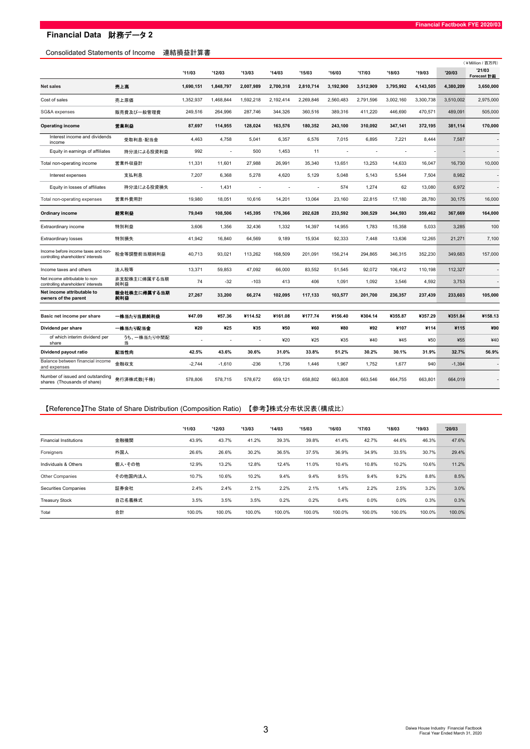## Consolidated Statements of Income 連結損益計算書

|                                                                            |                     |           |           |           |           |           |           |           |           |           |           | (¥Million / 百万円)      |
|----------------------------------------------------------------------------|---------------------|-----------|-----------|-----------|-----------|-----------|-----------|-----------|-----------|-----------|-----------|-----------------------|
|                                                                            |                     | '11/03    | '12/03    | '13/03    | '14/03    | 15/03     | '16/03    | '17/03    | '18/03    | '19/03    | 20/03     | '21/03<br>Forecast 計画 |
| <b>Net sales</b>                                                           | 売上高                 | 1,690,151 | 1,848,797 | 2,007,989 | 2,700,318 | 2,810,714 | 3,192,900 | 3,512,909 | 3,795,992 | 4,143,505 | 4,380,209 | 3,650,000             |
| Cost of sales                                                              | 売上原価                | 1,352,937 | 1,468,844 | 1,592,218 | 2,192,414 | 2,269,846 | 2,560,483 | 2,791,596 | 3,002,160 | 3,300,738 | 3,510,002 | 2,975,000             |
| SG&A expenses                                                              | 販売費及び一般管理費          | 249,516   | 264.996   | 287,746   | 344,326   | 360.516   | 389.316   | 411,220   | 446.690   | 470,571   | 489.091   | 505,000               |
| <b>Operating income</b>                                                    | 営業利益                | 87,697    | 114,955   | 128,024   | 163,576   | 180,352   | 243,100   | 310,092   | 347,141   | 372,195   | 381,114   | 170,000               |
| Interest income and dividends<br>income                                    | 受取利息·配当金            | 4,463     | 4,758     | 5,041     | 6,357     | 6,576     | 7,015     | 6,895     | 7,221     | 8,444     | 7,587     |                       |
| Equity in earnings of affiliates                                           | 持分法による投資利益          | 992       | ä,        | 500       | 1,453     | 11        |           |           | ä,        |           |           |                       |
| Total non-operating income                                                 | 営業外収益計              | 11,331    | 11,601    | 27,988    | 26,991    | 35,340    | 13,651    | 13,253    | 14,633    | 16,047    | 16,730    | 10,000                |
| Interest expenses                                                          | 支払利息                | 7,207     | 6,368     | 5,278     | 4,620     | 5,129     | 5,048     | 5,143     | 5,544     | 7,504     | 8,982     |                       |
| Equity in losses of affiliates                                             | 持分法による投資損失          |           | 1,431     |           |           |           | 574       | 1,274     | 62        | 13,080    | 6,972     |                       |
| Total non-operating expenses                                               | 営業外費用計              | 19,980    | 18,051    | 10,616    | 14,201    | 13,064    | 23,160    | 22,815    | 17,180    | 28,780    | 30,175    | 16,000                |
| Ordinary income                                                            | 経常利益                | 79,049    | 108,506   | 145,395   | 176,366   | 202,628   | 233,592   | 300,529   | 344,593   | 359.462   | 367,669   | 164,000               |
| Extraordinary income                                                       | 特別利益                | 3,606     | 1,356     | 32,436    | 1,332     | 14,397    | 14,955    | 1,783     | 15,358    | 5,033     | 3,285     | 100                   |
| Extraordinary losses                                                       | 特別損失                | 41,942    | 16,840    | 64,569    | 9,189     | 15,934    | 92,333    | 7,448     | 13,636    | 12,265    | 21,271    | 7,100                 |
| Income before income taxes and non-<br>controlling shareholders' interests | 税金等調整前当期純利益         | 40,713    | 93,021    | 113,262   | 168,509   | 201,091   | 156,214   | 294,865   | 346,315   | 352,230   | 349,683   | 157,000               |
| Income taxes and others                                                    | 法人税等                | 13,371    | 59,853    | 47,092    | 66,000    | 83,552    | 51,545    | 92,072    | 106,412   | 110,198   | 112.327   |                       |
| Net income attributable to non-<br>controlling shareholders' interests     | 非支配株主に帰属する当期<br>純利益 | 74        | $-32$     | $-103$    | 413       | 406       | 1,091     | 1,092     | 3,546     | 4,592     | 3,753     |                       |
| Net income attributable to<br>owners of the parent                         | 親会社株主に帰属する当期<br>純利益 | 27,267    | 33,200    | 66,274    | 102,095   | 117.133   | 103,577   | 201,700   | 236.357   | 237,439   | 233,603   | 105,000               |
| Basic net income per share                                                 | 一株当たり当期純利益          | ¥47.09    | ¥57.36    | ¥114.52   | ¥161.08   | ¥177.74   | ¥156.40   | ¥304.14   | ¥355.87   | ¥357.29   | ¥351.84   | ¥158.13               |
| Dividend per share                                                         | 一株当たり配当金            | ¥20       | ¥25       | ¥35       | ¥50       | ¥60       | ¥80       | ¥92       | ¥107      | ¥114      | ¥115      | ¥90                   |
| of which interim dividend per<br>share                                     | うち、一株当たり中間配<br>当    |           |           | ÷,        | 420       | 425       | ¥35       | ¥40       | ¥45       | ¥50       | ¥55       | ¥40                   |
| Dividend payout ratio                                                      | 配当性向                | 42.5%     | 43.6%     | 30.6%     | 31.0%     | 33.8%     | 51.2%     | 30.2%     | 30.1%     | 31.9%     | 32.7%     | 56.9%                 |
| Balance between financial income<br>and expenses                           | 金融収支                | $-2,744$  | $-1,610$  | $-236$    | 1,736     | 1,446     | 1,967     | 1,752     | 1,677     | 940       | $-1,394$  |                       |
| Number of issued and outstanding<br>shares (Thousands of share)            | 発行済株式数(千株)          | 578,806   | 578,715   | 578,672   | 659,121   | 658,802   | 663,808   | 663,546   | 664,755   | 663,801   | 664,019   |                       |

# 【Reference】The State of Share Distribution (Composition Ratio) 【参考】株式分布状況表(構成比)

|                               |         | '11/03 | '12/03 | '13/03 | '14/03 | '15/03 | '16/03 | '17/03 | '18/03 | '19/03 | '20/03 |
|-------------------------------|---------|--------|--------|--------|--------|--------|--------|--------|--------|--------|--------|
| <b>Financial Institutions</b> | 金融機関    | 43.9%  | 43.7%  | 41.2%  | 39.3%  | 39.8%  | 41.4%  | 42.7%  | 44.6%  | 46.3%  | 47.6%  |
| Foreigners                    | 外国人     | 26.6%  | 26.6%  | 30.2%  | 36.5%  | 37.5%  | 36.9%  | 34.9%  | 33.5%  | 30.7%  | 29.4%  |
| Individuals & Others          | 個人・その他  | 12.9%  | 13.2%  | 12.8%  | 12.4%  | 11.0%  | 10.4%  | 10.8%  | 10.2%  | 10.6%  | 11.2%  |
| Other Companies               | その他国内法人 | 10.7%  | 10.6%  | 10.2%  | 9.4%   | 9.4%   | 9.5%   | 9.4%   | 9.2%   | 8.8%   | 8.5%   |
| Securities Companies          | 証券会社    | 2.4%   | 2.4%   | 2.1%   | 2.2%   | 2.1%   | 1.4%   | 2.2%   | 2.5%   | 3.2%   | 3.0%   |
| <b>Treasury Stock</b>         | 自己名義株式  | 3.5%   | 3.5%   | 3.5%   | 0.2%   | 0.2%   | 0.4%   | 0.0%   | 0.0%   | 0.3%   | 0.3%   |
| Total                         | 合計      | 100.0% | 100.0% | 100.0% | 100.0% | 100.0% | 100.0% | 100.0% | 100.0% | 100.0% | 100.0% |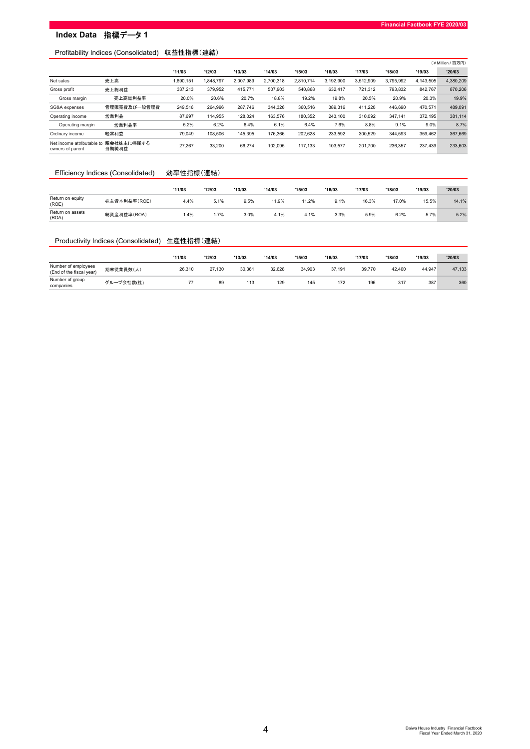# Index Data 指標データ1

## Profitability Indices (Consolidated) 収益性指標(連結)

|                                                |                     |          |           |           |           |           |           |           |           |           | (¥Million / 百万円) |
|------------------------------------------------|---------------------|----------|-----------|-----------|-----------|-----------|-----------|-----------|-----------|-----------|------------------|
|                                                |                     | '11/03   | '12/03    | '13/03    | '14/03    | '15/03    | '16/03    | '17/03    | '18/03    | '19/03    | '20/03           |
| Net sales                                      | 売上高                 | ,690,151 | 1,848,797 | 2,007,989 | 2,700,318 | 2,810,714 | 3,192,900 | 3,512,909 | 3,795,992 | 4,143,505 | 4,380,209        |
| Gross profit                                   | 売上総利益               | 337,213  | 379,952   | 415,771   | 507,903   | 540,868   | 632,417   | 721,312   | 793,832   | 842,767   | 870,206          |
| Gross margin                                   | 売上高総利益率             | 20.0%    | 20.6%     | 20.7%     | 18.8%     | 19.2%     | 19.8%     | 20.5%     | 20.9%     | 20.3%     | 19.9%            |
| SG&A expenses                                  | 管理販売費及び一般管理費        | 249,516  | 264.996   | 287,746   | 344.326   | 360.516   | 389,316   | 411.220   | 446.690   | 470,571   | 489,091          |
| Operating income                               | 営業利益                | 87,697   | 114.955   | 128,024   | 163,576   | 180,352   | 243.100   | 310.092   | 347.141   | 372,195   | 381,114          |
| Operating margin                               | 営業利益率               | 5.2%     | 6.2%      | 6.4%      | 6.1%      | 6.4%      | 7.6%      | 8.8%      | 9.1%      | 9.0%      | 8.7%             |
| Ordinary income                                | 経常利益                | 79.049   | 108.506   | 145.395   | 176.366   | 202.628   | 233.592   | 300.529   | 344.593   | 359.462   | 367,669          |
| Net income attributable to<br>owners of parent | 親会社株主に帰属する<br>当期純利益 | 27,267   | 33,200    | 66,274    | 102,095   | 117.133   | 103,577   | 201.700   | 236,357   | 237,439   | 233,603          |

#### Efficiency Indices (Consolidated) 効率性指標(連結)

|                           |              | '11/03 | '12/03 | '13/03 | '14/03 | '15/03 | '16/03 | '17/03 | '18/03 | '19/03 | '20/03 |
|---------------------------|--------------|--------|--------|--------|--------|--------|--------|--------|--------|--------|--------|
| Return on equity<br>(ROE) | 株主資本利益率(ROE) | 4.4%   | 5.1%   | 9.5%   | 11.9%  | 11.2%  | 9.1%   | 16.3%  | 17.0%  | 15.5%  | 14.1%  |
| Return on assets<br>(ROA) | 総資産利益率(ROA)  | 1.4%   | 1.7%   | 3.0%   | 4.1%   | 4.1%   | 3.3%   | 5.9%   | 6.2%   | 5.7%   | 5.2%   |

## Productivity Indices (Consolidated) 生産性指標(連結)

|                                                 |            | '11/03 | '12/03 | '13/03 | '14/03 | '15/03 | '16/03 | '17/03 | '18/03 | '19/03 | '20/03 |
|-------------------------------------------------|------------|--------|--------|--------|--------|--------|--------|--------|--------|--------|--------|
| Number of employees<br>(End of the fiscal year) | 期末従業員数(人)  | 26.310 | 27.130 | 30,361 | 32.628 | 34.903 | 37.191 | 39,770 | 42.460 | 44,947 | 47,133 |
| Number of group<br>companies                    | グループ会社数(社) | 77     | 89     | 113    | 129    | 145    | 172    | 196    | 317    | 387    | 360    |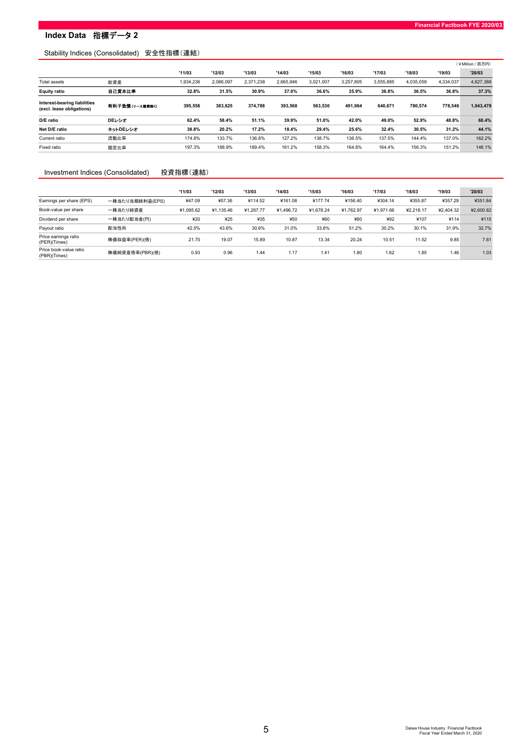# **Index Data 指標データ2**

## Stability Indices (Consolidated) 安全性指標(連結)

|                                                                  |                |           |           |           |           |           |           |           |           |           | (¥Million/百万円) |
|------------------------------------------------------------------|----------------|-----------|-----------|-----------|-----------|-----------|-----------|-----------|-----------|-----------|----------------|
|                                                                  |                | '11/03    | '12/03    | '13/03    | '14/03    | '15/03    | '16/03    | '17/03    | '18/03    | '19/03    | '20/03         |
| <b>Total assets</b>                                              | 総資産            | 1.934.236 | 2.086.097 | 2.371.238 | 2.665.946 | 3.021.007 | 3.257.805 | 3.555.885 | 4.035.059 | 4,334,037 | 4,627,388      |
| <b>Equity ratio</b>                                              | 自己資本比率         | 32.8%     | 31.5%     | 30.9%     | 37.0%     | 36.6%     | 35.9%     | 36.8%     | 36.5%     | 36.8%     | 37.3%          |
| <b>Interest-bearing liabilities</b><br>(excl. lease obligations) | 有利子負債(リース債務除く) | 395,556   | 383.625   | 374.788   | 393,568   | 563,530   | 491.964   | 640.671   | 780.574   | 778,546   | 1,043,478      |
| D/E ratio                                                        | DEレシオ          | 62.4%     | 58.4%     | 51.1%     | 39.9%     | 51.0%     | 42.0%     | 49.0%     | 52.9%     | 48.8%     | 60.4%          |
| Net D/E ratio                                                    | ネットDEレシオ       | 38.8%     | 20.2%     | 17.2%     | 18.4%     | 29.4%     | 25.6%     | 32.4%     | 30.5%     | 31.2%     | 44.1%          |
| Current ratio                                                    | 流動比率           | 174.8%    | 133.7%    | 136.8%    | 127.2%    | 138.7%    | 136.5%    | 137.5%    | 144.4%    | 137.0%    | 162.2%         |
| Fixed ratio                                                      | 固定比率           | 197.3%    | 188.9%    | 189.4%    | 161.2%    | 158.3%    | 164.8%    | 164.4%    | 156.3%    | 151.2%    | 146.1%         |

#### Investment Indices (Consolidated) 投資指標(連結)

|                                        |                 | '11/03    | '12/03    | '13/03    | '14/03    | '15/03    | '16/03    | '17/03    | '18/03    | '19/03    | '20/03    |
|----------------------------------------|-----------------|-----------|-----------|-----------|-----------|-----------|-----------|-----------|-----------|-----------|-----------|
| Earnings per share (EPS)               | 一株当たり当期純利益(EPS) | ¥47.09    | ¥57.36    | ¥114.52   | ¥161.08   | ¥177.74   | ¥156.40   | ¥304.14   | ¥355.87   | ¥357.29   | ¥351.84   |
| Book-value per share                   | 一株当たり純資産        | ¥1.095.62 | ¥1.135.46 | ¥1.267.77 | ¥1.496.72 | ¥1.678.24 | ¥1.762.97 | ¥1.971.66 | ¥2.218.17 | ¥2.404.32 | ¥2,600.82 |
| Dividend per share                     | 一株当たり配当金(円)     | ¥20       | ¥25       | ¥35       | ¥50       | ¥60       | ¥80       | ¥92       | ¥107      | ¥114      | ¥115      |
| Payout ratio                           | 配当性向            | 42.5%     | 43.6%     | 30.6%     | 31.0%     | 33.8%     | 51.2%     | 30.2%     | 30.1%     | 31.9%     | 32.7%     |
| Price earnings ratio<br>(PER)(Times)   | 株価収益率(PER)(倍)   | 21.70     | 19.07     | 15.89     | 10.87     | 13.34     | 20.24     | 10.51     | 11.52     | 9.85      | 7.61      |
| Price book-value ratio<br>(PBR)(Times) | 株価純資産倍率(PBR)(倍) | 0.93      | 0.96      | 1.44      | 1.17      | 1.41      | 1.80      | 1.62      | 1.85      | 1.46      | 1.03      |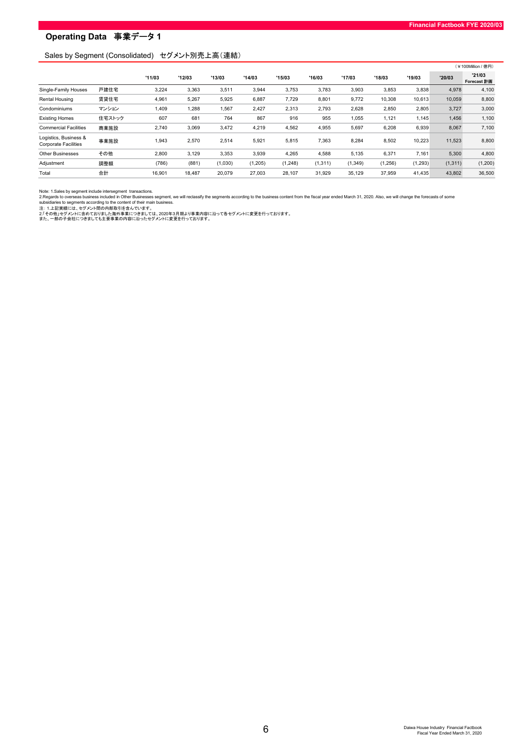#### Sales by Segment (Consolidated) セグメント別売上高(連結)

|                                                      |        |        |        |         |          |          |          |          |          |          |          | (¥100Million / 億円)    |
|------------------------------------------------------|--------|--------|--------|---------|----------|----------|----------|----------|----------|----------|----------|-----------------------|
|                                                      |        | '11/03 | '12/03 | '13/03  | '14/03   | '15/03   | '16/03   | '17/03   | '18/03   | '19/03   | '20/03   | '21/03<br>Forecast 計画 |
| Single-Family Houses                                 | 戸建住宅   | 3,224  | 3,363  | 3,511   | 3,944    | 3,753    | 3,783    | 3,903    | 3,853    | 3,838    | 4,978    | 4,100                 |
| Rental Housing                                       | 賃貸住宅   | 4,961  | 5,267  | 5,925   | 6,887    | 7,729    | 8,801    | 9,772    | 10.308   | 10.613   | 10.059   | 8,800                 |
| Condominiums                                         | マンション  | 1,409  | 1,288  | 1,567   | 2,427    | 2,313    | 2,793    | 2,628    | 2,850    | 2,805    | 3,727    | 3,000                 |
| <b>Existing Homes</b>                                | 住宅ストック | 607    | 681    | 764     | 867      | 916      | 955      | 1,055    | 1,121    | 1,145    | 1,456    | 1,100                 |
| <b>Commercial Facilities</b>                         | 商業施設   | 2,740  | 3,069  | 3,472   | 4,219    | 4,562    | 4,955    | 5,697    | 6,208    | 6,939    | 8,067    | 7,100                 |
| Logistics, Business &<br><b>Corporate Facilities</b> | 事業施設   | 1,943  | 2,570  | 2,514   | 5,921    | 5,815    | 7,363    | 8,284    | 8,502    | 10,223   | 11,523   | 8,800                 |
| <b>Other Businesses</b>                              | その他    | 2,800  | 3,129  | 3,353   | 3,939    | 4,265    | 4,588    | 5,135    | 6,371    | 7,161    | 5,300    | 4,800                 |
| Adjustment                                           | 調整額    | (786)  | (881)  | (1,030) | (1, 205) | (1, 248) | (1, 311) | (1, 349) | (1, 256) | (1, 293) | (1, 311) | (1,200)               |
| Total                                                | 合計     | 16,901 | 18,487 | 20,079  | 27,003   | 28,107   | 31,929   | 35,129   | 37,959   | 41,435   | 43,802   | 36,500                |

Note: 1.Sales by segment include intersegment transactions.<br>2.Regards to overseas busines included in Other Businesses segment, we will reclassify the segments according to the business content from the fiscal year ended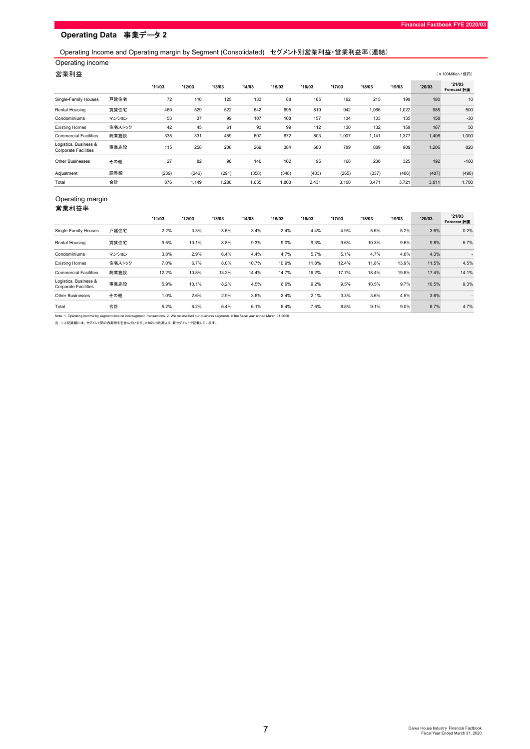# Operating Income and Operating margin by Segment (Consolidated) セグメント別営業利益・営業利益率(連結)

# Operating income

| ັ                                                    |        |        |        |        |        |        |        |        |        |        |        |                               |
|------------------------------------------------------|--------|--------|--------|--------|--------|--------|--------|--------|--------|--------|--------|-------------------------------|
| 営業利益                                                 |        |        |        |        |        |        |        |        |        |        |        | (¥100Million / 億円)            |
|                                                      |        | '11/03 | '12/03 | '13/03 | '14/03 | '15/03 | '16/03 | '17/03 | '18/03 | '19/03 | '20/03 | '21/03<br>Forecast <b>THE</b> |
| Single-Family Houses                                 | 戸建住宅   | 72     | 110    | 125    | 133    | 88     | 165    | 192    | 215    | 199    | 180    | 10                            |
| Rental Housing                                       | 賃貸住宅   | 469    | 529    | 522    | 642    | 695    | 819    | 942    | 1,066  | 1,022  | 985    | 500                           |
| Condominiums                                         | マンション  | 53     | 37     | 99     | 107    | 108    | 157    | 134    | 133    | 135    | 158    | $-30$                         |
| <b>Existing Homes</b>                                | 住宅ストック | 42     | 45     | 61     | 93     | 99     | 112    | 130    | 132    | 159    | 167    | 50                            |
| <b>Commercial Facilities</b>                         | 商業施設   | 335    | 331    | 459    | 607    | 672    | 803    | 1,007  | 1,141  | 1,377  | 1,406  | 1,000                         |
| Logistics, Business &<br><b>Corporate Facilities</b> | 事業施設   | 115    | 258    | 206    | 269    | 384    | 680    | 789    | 889    | 989    | 1,206  | 820                           |
| <b>Other Businesses</b>                              | その他    | 27     | 82     | 96     | 140    | 102    | 95     | 168    | 230    | 325    | 192    | $-160$                        |
| Adjustment                                           | 調整額    | (239)  | (246)  | (291)  | (358)  | (348)  | (403)  | (265)  | (337)  | (486)  | (487)  | (490)                         |
| Total                                                | 合計     | 876    | 1,149  | 1,280  | 1,635  | 1,803  | 2,431  | 3,100  | 3,471  | 3,721  | 3,811  | 1,700                         |

#### Operating margin 営業利益率

|                                                      |        | '11/03 | '12/03 | '13/03 | '14/03 | '15/03 | '16/03 | '17/03 | '18/03 | '19/03 | '20/03 | '21/03<br>Forecast <b>H</b> |
|------------------------------------------------------|--------|--------|--------|--------|--------|--------|--------|--------|--------|--------|--------|-----------------------------|
| Single-Family Houses                                 | 戸建住宅   | 2.2%   | 3.3%   | 3.6%   | 3.4%   | 2.4%   | 4.4%   | 4.9%   | 5.6%   | 5.2%   | 3.6%   | 0.2%                        |
| Rental Housing                                       | 賃貸住宅   | 9.5%   | 10.1%  | 8.8%   | 9.3%   | 9.0%   | 9.3%   | 9.6%   | 10.3%  | 9.6%   | 9.8%   | 5.7%                        |
| Condominiums                                         | マンション  | 3.8%   | 2.9%   | 6.4%   | 4.4%   | 4.7%   | 5.7%   | 5.1%   | 4.7%   | 4.8%   | 4.3%   |                             |
| <b>Existing Homes</b>                                | 住宅ストック | 7.0%   | 6.7%   | 8.0%   | 10.7%  | 10.9%  | 11.8%  | 12.4%  | 11.8%  | 13.9%  | 11.5%  | 4.5%                        |
| <b>Commercial Facilities</b>                         | 商業施設   | 12.2%  | 10.8%  | 13.2%  | 14.4%  | 14.7%  | 16.2%  | 17.7%  | 18.4%  | 19.8%  | 17.4%  | 14.1%                       |
| Logistics, Business &<br><b>Corporate Facilities</b> | 事業施設   | 5.9%   | 10.1%  | 8.2%   | 4.5%   | 6.6%   | 9.2%   | 9.5%   | 10.5%  | 9.7%   | 10.5%  | 9.3%                        |
| <b>Other Businesses</b>                              | その他    | 1.0%   | 2.6%   | 2.9%   | 3.6%   | 2.4%   | 2.1%   | 3.3%   | 3.6%   | 4.5%   | 3.6%   |                             |
| Total                                                | 合計     | 5.2%   | 6.2%   | 6.4%   | 6.1%   | 6.4%   | 7.6%   | 8.8%   | 9.1%   | 9.0%   | 8.7%   | 4.7%                        |

Note: 1. Operating income by segment include intersegment transactions. 2. We reclassified our business segments in the fiscal year ended March 31,2020.<br>注: 1.上記実績には、セグメント間の内部取引を含んでいます。2.2020/3月期より、新セグメントで記載しています。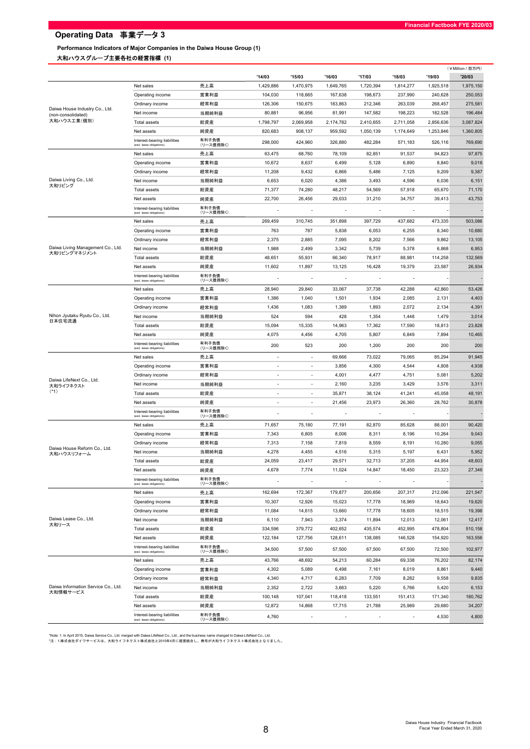Performance Indicators of Major Companies in the Daiwa House Group (1) 大和ハウスグループ主要各社の経営指標 (1)

|                                                      |                                                           |                    |                          |                          |                          |                          |                  |                   | (¥Million / 百万円)  |
|------------------------------------------------------|-----------------------------------------------------------|--------------------|--------------------------|--------------------------|--------------------------|--------------------------|------------------|-------------------|-------------------|
|                                                      |                                                           |                    | '14/03                   | '15/03                   | '16/03                   | '17/03                   | '18/03           | '19/03            | '20/03            |
|                                                      | Net sales                                                 | 売上高                | 1,429,886                | 1,470,975                | 1,649,765                | 1,720,394                | 1,814,277        | 1,925,518         | 1,975,150         |
|                                                      | Operating income                                          | 営業利益               | 104,030                  | 118,665                  | 167,638                  | 198,673                  | 237,990          | 240,628           | 250,053           |
|                                                      | Ordinary income                                           | 経常利益               | 126,306                  | 150,675                  | 183,863                  | 212,346                  | 263,039          | 268,457           | 275,581           |
| Daiwa House Industry Co., Ltd.<br>(non-consolidated) | Net income                                                | 当期純利益              | 80,881                   | 96,956                   | 81,991                   | 147,582                  | 198,223          | 182,528           | 196,484           |
| 大和ハウス工業(個別)                                          | <b>Total assets</b>                                       | 総資産                | 1,798,797                | 2,069,958                | 2,174,782                | 2,410,655                | 2.711.058        | 2,856,636         | 3,087,824         |
|                                                      | Net assets                                                | 純資産                | 820,683                  | 908,137                  | 959,592                  | 1,050,139                | 1,174,649        | 1,253,846         | 1,360,805         |
|                                                      | Interest-bearing liabilities<br>(excl. lease obligations) | 有利子負債<br>(リース債務除く) | 298,000                  | 424,960                  | 326,880                  | 482,284                  | 571,183          | 526,116           | 769,690           |
|                                                      | Net sales                                                 | 売上高                | 63,475                   | 68,760                   | 78,109                   | 82,851                   | 91,537           | 94,823            | 97,875            |
|                                                      | Operating income                                          | 営業利益               | 10,672                   | 8,637                    | 6,499                    | 5,128                    | 6,890            | 8,840             | 9,016             |
|                                                      | Ordinary income                                           | 経常利益               | 11,208                   | 9,432                    | 6,866                    | 5,486                    | 7,125            | 9,209             | 9,387             |
| Daiwa Living Co., Ltd.                               | Net income                                                | 当期純利益              | 6,653                    | 6,020                    | 4,386                    | 3,493                    | 4,596            | 6,036             | 6,151             |
| 大和リビング                                               | <b>Total assets</b>                                       | 総資産                | 71,377                   | 74,280                   | 48,217                   | 54,569                   | 57,918           | 65,670            | 71,170            |
|                                                      | Net assets                                                | 純資産                | 22,700                   | 26,456                   | 29,033                   | 31,210                   | 34,757           | 39,413            | 43,753            |
|                                                      | Interest-bearing liabilities                              | 有利子負債              | $\overline{\phantom{a}}$ | $\overline{\phantom{a}}$ | $\overline{\phantom{a}}$ | $\overline{\phantom{a}}$ |                  |                   |                   |
|                                                      | (excl. lease obligations)                                 | (リース債務除く)          |                          |                          |                          |                          |                  |                   |                   |
|                                                      | Net sales                                                 | 売上高                | 269,459                  | 310,745                  | 351,898                  | 397,729                  | 437,682          | 473,335           | 503,086           |
|                                                      | Operating income                                          | 営業利益               | 763                      | 787                      | 5,838                    | 6,053                    | 6,255            | 8,340<br>9,862    | 10,680            |
| Daiwa Living Management Co., Ltd.                    | Ordinary income                                           | 経常利益               | 2,375                    | 2,885                    | 7,095                    | 8,202                    | 7,566            |                   | 13,105            |
| 大和リビングマネジメント                                         | Net income                                                | 当期純利益              | 1,988                    | 2,499                    | 3,342                    | 5,739                    | 5,378            | 6,868             | 6,953             |
|                                                      | <b>Total assets</b><br>Net assets                         | 総資産<br>純資産         | 48,651<br>11,602         | 55,931<br>11,897         | 66,340<br>13,125         | 78,917<br>16,428         | 88,981<br>19,379 | 114,258<br>23,587 | 132,569<br>26,934 |
|                                                      | Interest-bearing liabilities                              | 有利子負債              |                          |                          |                          |                          |                  |                   |                   |
|                                                      | (excl. lease obligations)                                 | (リース債務除く)          |                          |                          |                          |                          |                  |                   |                   |
|                                                      | Net sales                                                 | 売上高                | 28,940                   | 29,840                   | 33,067                   | 37,738                   | 42,288           | 42,860            | 53,426            |
|                                                      | Operating income                                          | 営業利益               | 1,386                    | 1,040                    | 1,501                    | 1,934                    | 2,085            | 2,131             | 4,403             |
|                                                      | Ordinary income                                           | 経常利益               | 1,436                    | 1,083                    | 1,389                    | 1,893                    | 2,072            | 2,134             | 4,391             |
| Nihon Jyutaku Ryutu Co., Ltd.<br>日本住宅流通              | Net income                                                | 当期純利益              | 524                      | 594                      | 428                      | 1,354                    | 1,448            | 1,479             | 3,014             |
|                                                      | Total assets                                              | 総資産                | 15,094                   | 15,335                   | 14,963                   | 17,362                   | 17,590           | 18,813            | 23,828            |
|                                                      | Net assets                                                | 純資産<br>有利子負債       | 4,075                    | 4,456                    | 4,705                    | 5,807                    | 6,849            | 7,894             | 10,465            |
|                                                      | Interest-bearing liabilities<br>(excl. lease obligations) | (リース債務除く)          | 200                      | 523                      | 200                      | 1,200                    | 200              | 200               | 200               |
|                                                      | Net sales                                                 | 売上高                | $\overline{\phantom{a}}$ | $\overline{\phantom{a}}$ | 69,666                   | 73,022                   | 79,065           | 85,294            | 91,945            |
|                                                      | Operating income                                          | 営業利益               | ÷,                       | $\overline{\phantom{a}}$ | 3,856                    | 4,300                    | 4,544            | 4,808             | 4,938             |
| Daiwa LifeNext Co., Ltd.                             | Ordinary income                                           | 経常利益               | $\blacksquare$           |                          | 4,001                    | 4,477                    | 4,751            | 5,081             | 5,202             |
| 大和ライフネクスト                                            | Net income                                                | 当期純利益              | $\sim$                   | $\sim$                   | 2,160                    | 3,235                    | 3,429            | 3,576             | 3,311             |
| $(*1)$                                               | <b>Total assets</b>                                       | 総資産                | $\sim$                   | $\sim$                   | 35,871                   | 38,124                   | 41,241           | 45,058            | 48,191            |
|                                                      | Net assets                                                | 純資産                | $\sim$                   | $\sim$                   | 21,456                   | 23,973                   | 26,360           | 28,762            | 30,878            |
|                                                      | Interest-bearing liabilities<br>(excl. lease obligations) | 有利子負債<br>(リース債務除く) |                          |                          |                          |                          |                  |                   |                   |
|                                                      | Net sales                                                 | 売上高                | 71,657                   | 75,180                   | 77,191                   | 82,870                   | 85,628           | 88,001            | 90,420            |
|                                                      | Operating income                                          | 営業利益               | 7,343                    | 6,805                    | 8,006                    | 8,311                    | 8,196            | 10,264            | 9,043             |
|                                                      | Ordinary income                                           | 経常利益               | 7,313                    | 7,158                    | 7,819                    | 8,559                    | 8,191            | 10,280            | 9,055             |
| Daiwa House Reform Co., Ltd.<br>大和ハウスリフォーム           | Net income                                                | 当期純利益              | 4,278                    | 4,455                    | 4,516                    | 5,315                    | 5,197            | 6,431             | 5,952             |
|                                                      | <b>Total assets</b>                                       | 総資産                | 24,059                   | 23,417                   | 29,571                   | 32,713                   | 37,205           | 44,954            | 48,603            |
|                                                      | Net assets                                                | 純資産                | 4,678                    | 7,774                    | 11,024                   | 14,847                   | 18,450           | 23,323            | 27,346            |
|                                                      | Interest-bearing liabilities<br>(excl. lease obligations) | 有利子負債<br>(リース債務除く) | ٠                        |                          |                          |                          |                  |                   |                   |
|                                                      | Net sales                                                 | 売上高                | 162,694                  | 172,367                  | 179,877                  | 200,656                  | 207,317          | 212,096           | 221,547           |
|                                                      | Operating income                                          | 営業利益               | 10,307                   | 12,926                   | 15,023                   | 17,778                   | 18,969           | 18,643            | 19,620            |
|                                                      | Ordinary income                                           | 経常利益               | 11,084                   | 14,615                   | 13,660                   | 17,778                   | 18,605           | 18,515            | 19,398            |
| Daiwa Lease Co., Ltd.<br>大和リース                       | Net income                                                | 当期純利益              | 6,110                    | 7,943                    | 3,374                    | 11,894                   | 12,013           | 12,061            | 12,417            |
|                                                      | Total assets                                              | 総資産                | 334,596                  | 379,772                  | 402,652                  | 435,574                  | 452,995          | 478,804           | 510,158           |
|                                                      | Net assets                                                | 純資産                | 122,184                  | 127,756                  | 128,611                  | 138,085                  | 146,528          | 154,920           | 163,556           |
|                                                      | Interest-bearing liabilities<br>(excl. lease obligations) | 有利子負債<br>(リース債務除く) | 34,500                   | 57,500                   | 57,500                   | 67,500                   | 67,500           | 72,500            | 102,977           |
|                                                      | Net sales                                                 | 売上高                | 43,766                   | 48,692                   | 54,213                   | 60,284                   | 69,338           | 76,202            | 82,174            |
|                                                      | Operating income                                          | 営業利益               | 4,302                    | 5,089                    | 6,498                    | 7,161                    | 8,019            | 8,861             | 9,440             |
|                                                      | Ordinary income                                           | 経常利益               | 4,340                    | 4,717                    | 6,283                    | 7,709                    | 8,282            | 9,558             | 9,835             |
| Daiwa Information Service Co., Ltd.<br>大和情報サービス      | Net income                                                | 当期純利益              | 2,352                    | 2,722                    | 3,663                    | 5,220                    | 5,766            | 5,420             | 6,153             |
|                                                      | <b>Total assets</b>                                       | 総資産                | 100,148                  | 107,041                  | 118,418                  | 133,551                  | 151,413          | 171,340           | 180,762           |
|                                                      | Net assets                                                | 純資産                | 12,872                   | 14,868                   | 17,715                   | 21,788                   | 25,989           | 29,680            | 34,207            |
|                                                      | Interest-bearing liabilities<br>(excl. lease obligations) | 有利子負債<br>(リース債務除く) | 4,760                    |                          |                          |                          |                  | 4,530             | 4,800             |

\*Note: 1. In April 2015, Daiwa Service Co., Ltd. merged with Daiwa LifeNext Co., Ltd., and the business name changed to Daiwa LifeNext Co., Ltd.<br>\*注:1.株式会社ダイワサービスは、大和ライフネクスト株式会社と2015年4月に経営統合し、商号が大和ライフネクスト株式会社となりました。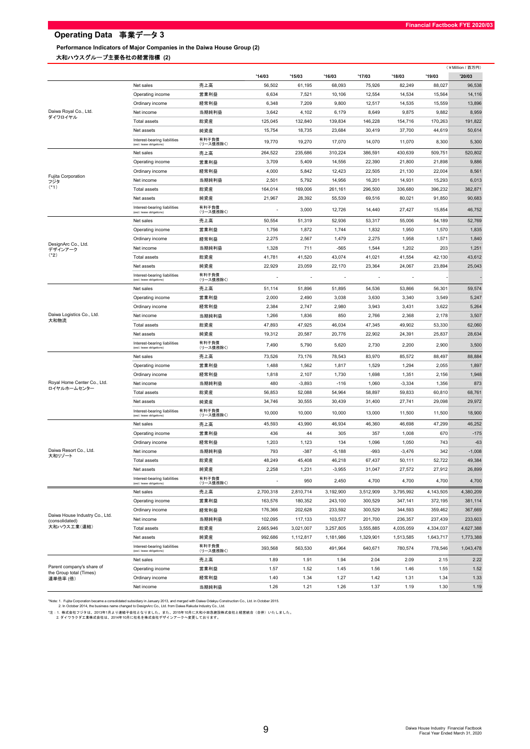Performance Indicators of Major Companies in the Daiwa House Group (2) 大和ハウスグループ主要各社の経営指標 (2)

|                                                                                                                                                                                                                                            |                                                           |                    |           |                          |           |           |           |           | (¥Million / 百万円) |
|--------------------------------------------------------------------------------------------------------------------------------------------------------------------------------------------------------------------------------------------|-----------------------------------------------------------|--------------------|-----------|--------------------------|-----------|-----------|-----------|-----------|------------------|
|                                                                                                                                                                                                                                            |                                                           |                    | '14/03    | '15/03                   | '16/03    | '17/03    | '18/03    | '19/03    | '20/03           |
|                                                                                                                                                                                                                                            | Net sales                                                 | 売上高                | 56,502    | 61,195                   | 68,093    | 75,926    | 82,249    | 88,027    | 96,538           |
|                                                                                                                                                                                                                                            | Operating income                                          | 営業利益               | 6,634     | 7,521                    | 10,106    | 12,554    | 14,534    | 15,564    | 14,116           |
|                                                                                                                                                                                                                                            | Ordinary income                                           | 経常利益               | 6,348     | 7,209                    | 9,800     | 12,517    | 14,535    | 15,559    | 13,896           |
|                                                                                                                                                                                                                                            | Net income                                                | 当期純利益              | 3,642     | 4,102                    | 6,179     | 8,649     | 9,875     | 9,882     | 8,959            |
|                                                                                                                                                                                                                                            | Total assets                                              | 総資産                | 125,045   | 132,840                  | 139,834   | 146,228   | 154,716   | 170,263   | 191,822          |
|                                                                                                                                                                                                                                            | Net assets                                                | 純資産                | 15,754    | 18,735                   | 23,684    | 30,419    | 37,700    | 44,619    | 50,614           |
| Daiwa Royal Co., Ltd.<br>ダイワロイヤル<br>Fujita Corporation<br>フジタ<br>$(*1)$<br>DesignArc Co., Ltd.<br>デザインアーク<br>$(*2)$<br>Daiwa Logistics Co., Ltd.<br>大和物流<br>Royal Home Center Co., Ltd.<br>ロイヤルホームセンター<br>Daiwa Resort Co., Ltd.<br>大和リゾート | Interest-bearing liabilities<br>(excl. lease obligations) | 有利子負債<br>(リース債務除く) | 19,770    | 19,270                   | 17,070    | 14,070    | 11,070    | 8,300     | 5,300            |
|                                                                                                                                                                                                                                            | Net sales                                                 | 売上高                | 264,522   | 235,686                  | 310,224   | 386,591   | 430,639   | 509,751   | 520,802          |
|                                                                                                                                                                                                                                            | Operating income                                          | 営業利益               | 3,709     | 5,409                    | 14,556    | 22,390    | 21,800    | 21,898    | 9,886            |
|                                                                                                                                                                                                                                            | Ordinary income                                           | 経常利益               | 4,000     | 5,842                    | 12,423    | 22,505    | 21,130    | 22,004    | 8,561            |
|                                                                                                                                                                                                                                            | Net income                                                | 当期純利益              | 2,501     | 5,792                    | 14,956    | 16,201    | 14,931    | 15,293    | 6,013            |
|                                                                                                                                                                                                                                            | Total assets                                              | 総資産                | 164,014   | 169,006                  | 261,161   | 296,500   | 336,680   | 396,232   | 382,871          |
|                                                                                                                                                                                                                                            | Net assets                                                | 純資産                | 21,967    | 28,392                   | 55,539    | 69,516    | 80,021    | 91,850    | 90,683           |
|                                                                                                                                                                                                                                            | Interest-bearing liabilities<br>(excl. lease obligations) | 有利子負債<br>(リース債務除く) |           | 3,000                    | 12,726    | 14,440    | 27,427    | 15,854    | 46,752           |
|                                                                                                                                                                                                                                            | Net sales                                                 | 売上高                | 50,554    | 51,319                   | 52,936    | 53,317    | 55,006    | 54,189    | 52,769           |
|                                                                                                                                                                                                                                            | Operating income                                          | 営業利益               | 1,756     | 1,872                    | 1,744     | 1,832     | 1,950     | 1,570     | 1,835            |
|                                                                                                                                                                                                                                            | Ordinary income                                           | 経常利益               | 2,275     | 2,567                    | 1,479     | 2,275     | 1,958     | 1,571     | 1,840            |
|                                                                                                                                                                                                                                            | Net income                                                | 当期純利益              | 1,328     | 711                      | $-565$    | 1,544     | 1,202     | 203       | 1,251            |
|                                                                                                                                                                                                                                            | <b>Total assets</b>                                       | 総資産                | 41,781    | 41,520                   | 43,074    | 41,021    | 41,554    | 42,130    | 43,612           |
|                                                                                                                                                                                                                                            | Net assets                                                | 純資産                | 22,929    | 23,059                   | 22,170    | 23,364    | 24,067    | 23,894    | 25,043           |
|                                                                                                                                                                                                                                            | Interest-bearing liabilities<br>(excl. lease obligations) | 有利子負債<br>(リース債務除く) | ٠         | $\overline{\phantom{a}}$ |           |           |           |           |                  |
|                                                                                                                                                                                                                                            | Net sales                                                 | 売上高                | 51,114    | 51,896                   | 51,895    | 54,536    | 53,866    | 56,301    | 59,574           |
|                                                                                                                                                                                                                                            | Operating income                                          | 営業利益               | 2,000     | 2,490                    | 3,038     | 3,630     | 3,340     | 3,549     | 5,247            |
|                                                                                                                                                                                                                                            | Ordinary income                                           | 経常利益               | 2,384     | 2,747                    | 2,980     | 3,943     | 3,431     | 3,622     | 5,264            |
|                                                                                                                                                                                                                                            | Net income                                                | 当期純利益              | 1,266     | 1,836                    | 850       | 2,766     | 2,368     | 2,178     | 3,507            |
|                                                                                                                                                                                                                                            | <b>Total assets</b>                                       | 総資産                | 47,893    | 47,925                   | 46,034    | 47,345    | 49,902    | 53,330    | 62,060           |
|                                                                                                                                                                                                                                            | Net assets                                                | 純資産                | 19,312    | 20,587                   | 20,776    | 22,902    | 24,391    | 25,837    | 28,634           |
|                                                                                                                                                                                                                                            | Interest-bearing liabilities<br>(excl. lease obligations) | 有利子負債<br>(リース債務除く) | 7,490     | 5,790                    | 5,620     | 2,730     | 2,200     | 2,900     | 3,500            |
|                                                                                                                                                                                                                                            | Net sales                                                 | 売上高                | 73,526    | 73,176                   | 78,543    | 83,970    | 85,572    | 88,497    | 88,884           |
|                                                                                                                                                                                                                                            | Operating income                                          | 営業利益               | 1,488     | 1,562                    | 1,817     | 1,529     | 1,294     | 2,055     | 1,897            |
|                                                                                                                                                                                                                                            | Ordinary income                                           | 経常利益               | 1,818     | 2,107                    | 1,730     | 1,698     | 1,351     | 2,156     | 1,948            |
|                                                                                                                                                                                                                                            | Net income                                                | 当期純利益              | 480       | $-3,893$                 | $-116$    | 1,060     | $-3,334$  | 1,356     | 873              |
|                                                                                                                                                                                                                                            | <b>Total assets</b>                                       | 総資産                | 56,853    | 52,088                   | 54,964    | 58,897    | 59,833    | 60,810    | 68,761           |
|                                                                                                                                                                                                                                            | Net assets                                                | 純資産                | 34,746    | 30,555                   | 30,439    | 31,400    | 27,741    | 29,098    | 29,972           |
|                                                                                                                                                                                                                                            | Interest-bearing liabilities<br>(excl. lease obligations) | 有利子負債<br>(リース債務除く) | 10,000    | 10,000                   | 10,000    | 13,000    | 11,500    | 11,500    | 18,900           |
|                                                                                                                                                                                                                                            | Net sales                                                 | 売上高                | 45,593    | 43,990                   | 46,934    | 46,360    | 46,698    | 47,299    | 46,252           |
|                                                                                                                                                                                                                                            | Operating income                                          | 営業利益               | 436       | 44                       | 305       | 357       | 1,008     | 670       | $-175$           |
|                                                                                                                                                                                                                                            | Ordinary income                                           | 経常利益               | 1,203     | 1,123                    | 134       | 1,096     | 1,050     | 743       | $-63$            |
|                                                                                                                                                                                                                                            | Net income                                                | 当期純利益              | 793       | $-387$                   | $-5,188$  | -993      | $-3,476$  | 342       | $-1,008$         |
|                                                                                                                                                                                                                                            | Total assets                                              | 総資産                | 48,249    | 45,408                   | 46,218    | 67,437    | 50,111    | 52,722    | 49,384           |
|                                                                                                                                                                                                                                            | Net assets                                                | 純資産                | 2,258     | 1,231                    | $-3,955$  | 31,047    | 27,572    | 27,912    | 26,899           |
|                                                                                                                                                                                                                                            | Interest-bearing liabilities<br>(excl. lease obligations) | 有利子負債<br>(リース債務除く) |           | 950                      | 2,450     | 4,700     | 4,700     | 4,700     | 4,700            |
|                                                                                                                                                                                                                                            | Net sales                                                 | 売上高                | 2,700,318 | 2,810,714                | 3,192,900 | 3,512,909 | 3,795,992 | 4,143,505 | 4,380,209        |
|                                                                                                                                                                                                                                            | Operating income                                          | 営業利益               | 163,576   | 180,352                  | 243,100   | 300,529   | 347,141   | 372,195   | 381,114          |
|                                                                                                                                                                                                                                            | Ordinary income                                           | 経常利益               | 176,366   | 202,628                  | 233,592   | 300,529   | 344,593   | 359,462   | 367,669          |
| Daiwa House Industry Co., Ltd.<br>(consolidated)                                                                                                                                                                                           | Net income                                                | 当期純利益              | 102,095   | 117,133                  | 103,577   | 201,700   | 236,357   | 237,439   | 233,603          |
| 大和ハウス工業(連結)                                                                                                                                                                                                                                | Total assets                                              | 総資産                | 2,665,946 | 3,021,007                | 3,257,805 | 3,555,885 | 4,035,059 | 4,334,037 | 4,627,388        |
|                                                                                                                                                                                                                                            | Net assets                                                | 純資産                | 992,686   | 1,112,817                | 1,181,986 | 1,329,901 | 1,513,585 | 1,643,717 | 1,773,388        |
|                                                                                                                                                                                                                                            | Interest-bearing liabilities<br>(excl. lease obligations) | 有利子負債<br>(リース債務除く) | 393,568   | 563,530                  | 491,964   | 640,671   | 780,574   | 778,546   | 1,043,478        |
|                                                                                                                                                                                                                                            | Net sales                                                 | 売上高                | 1.89      | 1.91                     | 1.94      | 2.04      | 2.09      | 2.15      | 2.22             |
| Parent company's share of                                                                                                                                                                                                                  | Operating income                                          | 営業利益               | 1.57      | 1.52                     | 1.45      | 1.56      | 1.46      | 1.55      | 1.52             |
| the Group total (Times)<br>連単倍率 (倍)                                                                                                                                                                                                        | Ordinary income                                           | 経常利益               | 1.40      | 1.34                     | 1.27      | 1.42      | 1.31      | 1.34      | 1.33             |
|                                                                                                                                                                                                                                            | Net income                                                | 当期純利益              | 1.26      | 1.21                     | 1.26      | 1.37      | 1.19      | 1.30      | 1.19             |

"Note: 1. Fujita Corporation became a consolidated subsidiary in January 2013, and merged with Daiwa Odakyu Construction Co., Ltd. in October 2015.<br>2. In October 2014, the business name changed to DesignArc Co., Ltd. fro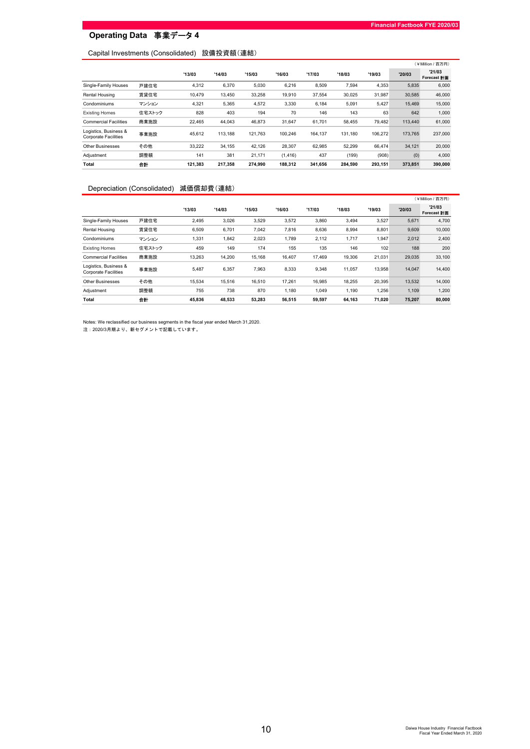## Capital Investments (Consolidated) 設備投資額(連結)

|                                                      |        |         |         |         |          |         |         |         |         | (¥Million / 百万円)      |
|------------------------------------------------------|--------|---------|---------|---------|----------|---------|---------|---------|---------|-----------------------|
|                                                      |        | '13/03  | '14/03  | '15/03  | '16/03   | '17/03  | '18/03  | '19/03  | '20/03  | '21/03<br>Forecast 計画 |
| Single-Family Houses                                 | 戸建住宅   | 4,312   | 6,370   | 5.030   | 6,216    | 8,509   | 7,594   | 4,353   | 5,835   | 6,000                 |
| Rental Housing                                       | 賃貸住宅   | 10.479  | 13.450  | 33.258  | 19.910   | 37.554  | 30,025  | 31.987  | 30,585  | 46,000                |
| Condominiums                                         | マンション  | 4,321   | 5,365   | 4,572   | 3,330    | 6,184   | 5,091   | 5,427   | 15,469  | 15,000                |
| <b>Existing Homes</b>                                | 住宅ストック | 828     | 403     | 194     | 70       | 146     | 143     | 63      | 642     | 1,000                 |
| <b>Commercial Facilities</b>                         | 商業施設   | 22.465  | 44.043  | 46.873  | 31.647   | 61.701  | 58.455  | 79.482  | 113,440 | 61,000                |
| Logistics, Business &<br><b>Corporate Facilities</b> | 事業施設   | 45,612  | 113.188 | 121.763 | 100.246  | 164.137 | 131.180 | 106.272 | 173.765 | 237,000               |
| <b>Other Businesses</b>                              | その他    | 33,222  | 34.155  | 42.126  | 28.307   | 62,985  | 52,299  | 66.474  | 34,121  | 20,000                |
| Adjustment                                           | 調整額    | 141     | 381     | 21.171  | (1, 416) | 437     | (199)   | (908)   | (0)     | 4,000                 |
| Total                                                | 合計     | 121,383 | 217,358 | 274,990 | 188,312  | 341,656 | 284,590 | 293,151 | 373,851 | 390,000               |

## Depreciation (Consolidated) 減価償却費(連結)

|                                                      |        |        |        |        |        |        |        |        | (¥Million / 百万円) |                             |  |
|------------------------------------------------------|--------|--------|--------|--------|--------|--------|--------|--------|------------------|-----------------------------|--|
|                                                      |        | '13/03 | '14/03 | '15/03 | '16/03 | '17/03 | '18/03 | '19/03 | '20/03           | '21/03<br>Forecast <b>H</b> |  |
| Single-Family Houses                                 | 戸建住宅   | 2.495  | 3,026  | 3,529  | 3,572  | 3,860  | 3,494  | 3,527  | 5,671            | 4,700                       |  |
| Rental Housing                                       | 賃貸住宅   | 6,509  | 6,701  | 7,042  | 7,816  | 8,636  | 8,994  | 8,801  | 9,609            | 10,000                      |  |
| Condominiums                                         | マンション  | 1,331  | 1,842  | 2,023  | 1,789  | 2,112  | 1,717  | 1,947  | 2,012            | 2,400                       |  |
| <b>Existing Homes</b>                                | 住宅ストック | 459    | 149    | 174    | 155    | 135    | 146    | 102    | 188              | 200                         |  |
| <b>Commercial Facilities</b>                         | 商業施設   | 13,263 | 14,200 | 15.168 | 16,407 | 17.469 | 19,306 | 21,031 | 29,035           | 33,100                      |  |
| Logistics, Business &<br><b>Corporate Facilities</b> | 事業施設   | 5,487  | 6,357  | 7.963  | 8,333  | 9,348  | 11,057 | 13,958 | 14,047           | 14,400                      |  |
| <b>Other Businesses</b>                              | その他    | 15,534 | 15,516 | 16,510 | 17.261 | 16.985 | 18,255 | 20,395 | 13,532           | 14,000                      |  |
| Adjustment                                           | 調整額    | 755    | 738    | 870    | 1,180  | 1,049  | 1,190  | 1,256  | 1,109            | 1,200                       |  |
| Total                                                | 송화     | 45,836 | 48,533 | 53,283 | 56.515 | 59,597 | 64,163 | 71,020 | 75,207           | 80,000                      |  |

Notes: We reclassified our business segments in the fiscal year ended March 31,2020.

注:2020/3月期より、新セグメントで記載しています。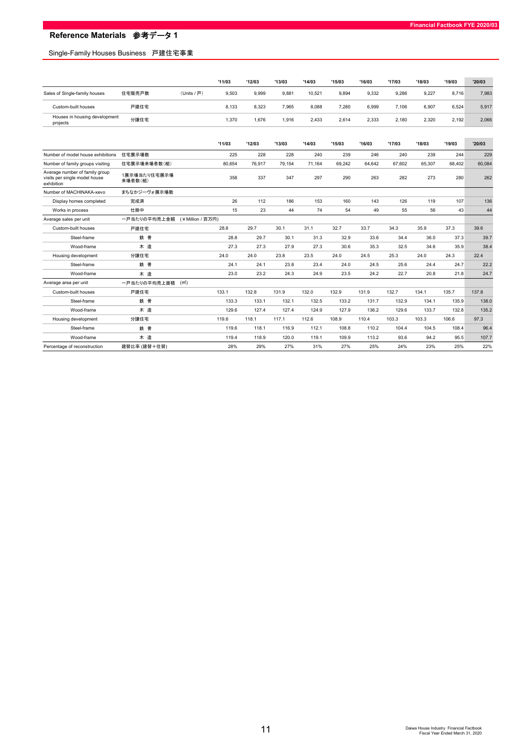## Single-Family Houses Business 戸建住宅事業

|                                           |        |             | '11/03 | '12/03 | '13/03 | '14/03 | '15/03 | '16/03 | '17/03 | '18/03 | '19/03 | '20/03 |
|-------------------------------------------|--------|-------------|--------|--------|--------|--------|--------|--------|--------|--------|--------|--------|
| Sales of Single-family houses             | 住宅販売戸数 | (Units / 戸) | 9.503  | 9.999  | 9,881  | 10.521 | 9,894  | 9,332  | 9.286  | 9,227  | 8.716  | 7,983  |
| Custom-built houses                       | 戸建住宅   |             | 8.133  | 8.323  | 7.965  | 8.088  | 7,280  | 6.999  | 7.106  | 6,907  | 6.524  | 5,917  |
| Houses in housing development<br>projects | 分譲住宅   |             | 1.370  | 1.676  | 1.916  | 2.433  | 2,614  | 2.333  | 2.180  | 2,320  | 2.192  | 2,066  |

|                                             |                         | '11/03            | '12/03 | '13/03 | '14/03 | '15/03 | '16/03 | '17/03 | '18/03 | '19/03 | '20/03 |
|---------------------------------------------|-------------------------|-------------------|--------|--------|--------|--------|--------|--------|--------|--------|--------|
| Number of model house exhibitions           | 住宅展示場数                  | 225               | 228    | 228    | 240    | 239    | 246    | 240    | 239    | 244    | 229    |
| Number of family groups visiting            | 住宅展示場来場者数(組)            | 80,654            | 76.917 | 79.154 | 71.164 | 69.242 | 64.642 | 67.602 | 65.307 | 68.402 | 60,084 |
| Average number of family group              |                         |                   |        |        |        |        |        |        |        |        |        |
| visits per single model house<br>exhibition | 1展示場当たり住宅展示場<br>来場者数(組) | 358               | 337    | 347    | 297    | 290    | 263    | 282    | 273    | 280    | 262    |
| Number of MACHINAKA-xevo                    | まちなかジーヴォ展示場数            |                   |        |        |        |        |        |        |        |        |        |
| Display homes completed                     | 完成済                     | 26                | 112    | 186    | 153    | 160    | 143    | 126    | 119    | 107    | 136    |
| Works in process                            | 仕掛中                     | 15                | 23     | 44     | 74     | 54     | 49     | 55     | 56     | 43     | 44     |
| Average sales per unit                      | 一戸当たりの平均売上金額            | (¥Million / 百万円)  |        |        |        |        |        |        |        |        |        |
| Custom-built houses                         | 戸建住宅                    | 28.8              | 29.7   | 30.1   | 31.1   | 32.7   | 33.7   | 34.3   | 35.9   | 37.3   | 39.6   |
| Steel-frame                                 | 鉄骨                      | 28.8              | 29.7   | 30.1   | 31.3   | 32.9   | 33.6   | 34.4   | 36.0   | 37.3   | 39.7   |
| Wood-frame                                  | 木造                      | 27.3              | 27.3   | 27.9   | 27.3   | 30.6   | 35.3   | 32.5   | 34.6   | 35.9   | 38.4   |
| Housing development                         | 分譲住宅                    | 24.0              | 24.0   | 23.8   | 23.5   | 24.0   | 24.5   | 25.3   | 24.0   | 24.3   | 22.4   |
| Steel-frame                                 | 鉄骨                      | 24.1              | 24.1   | 23.8   | 23.4   | 24.0   | 24.5   | 25.6   | 24.4   | 24.7   | 22.2   |
| Wood-frame                                  | 木造                      | 23.0              | 23.2   | 24.3   | 24.9   | 23.5   | 24.2   | 22.7   | 20.8   | 21.8   | 24.7   |
| Average area per unit                       | 一戸当たりの平均売上面積            | (m <sup>2</sup> ) |        |        |        |        |        |        |        |        |        |
| Custom-built houses                         | 戸建住宅                    | 133.1             | 132.8  | 131.9  | 132.0  | 132.9  | 131.9  | 132.7  | 134.1  | 135.7  | 137.8  |
| Steel-frame                                 | 鉄骨                      | 133.3             | 133.1  | 132.1  | 132.5  | 133.2  | 131.7  | 132.9  | 134.1  | 135.9  | 138.0  |
| Wood-frame                                  | 木造                      | 129.6             | 127.4  | 127.4  | 124.9  | 127.9  | 136.2  | 129.6  | 133.7  | 132.8  | 135.2  |
| Housing development                         | 分譲住宅                    | 119.6             | 118.1  | 117.1  | 112.6  | 108.9  | 110.4  | 103.3  | 103.3  | 106.6  | 97.3   |
| Steel-frame                                 | 鉄骨                      | 119.6             | 118.1  | 116.9  | 112.1  | 108.8  | 110.2  | 104.4  | 104.5  | 108.4  | 96.4   |
| Wood-frame                                  | 木造                      | 119.4             | 118.9  | 120.0  | 119.1  | 109.9  | 113.2  | 93.6   | 94.2   | 95.5   | 107.7  |
| Percentage of reconstruction                | 建替比率 (建替+住替)            | 28%               | 29%    | 27%    | 31%    | 27%    | 25%    | 24%    | 23%    | 25%    | 22%    |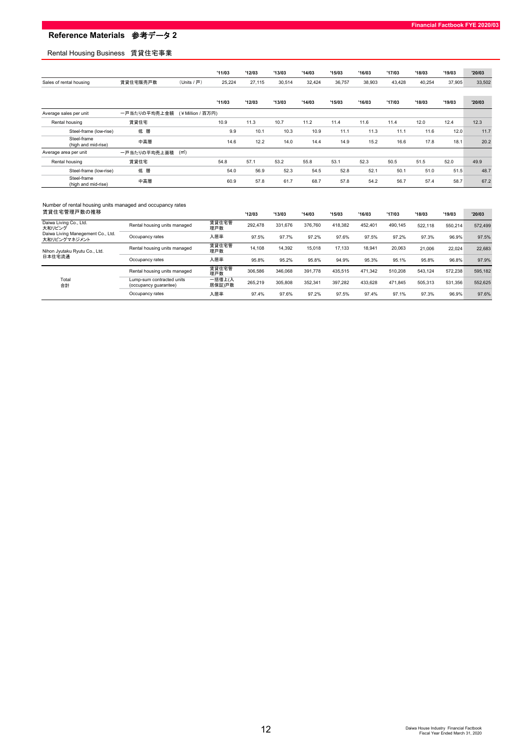## Rental Housing Business 賃貸住宅事業

|                                    |              |                   | '11/03 | '12/03 | '13/03 | '14/03 | '15/03 | '16/03 | '17/03 | '18/03 | '19/03 | '20/03 |
|------------------------------------|--------------|-------------------|--------|--------|--------|--------|--------|--------|--------|--------|--------|--------|
| Sales of rental housing            | 賃貸住宅販売戸数     | (Units / 戸)       | 25,224 | 27,115 | 30,514 | 32,424 | 36,757 | 38,903 | 43,428 | 40,254 | 37,905 | 33,502 |
|                                    |              |                   |        |        |        |        |        |        |        |        |        |        |
|                                    |              |                   | '11/03 | '12/03 | '13/03 | '14/03 | '15/03 | '16/03 | '17/03 | '18/03 | '19/03 | '20/03 |
| Average sales per unit             | 一戸当たりの平均売上金額 | (¥Million / 百万円)  |        |        |        |        |        |        |        |        |        |        |
| Rental housing                     | 賃貸住宅         |                   | 10.9   | 11.3   | 10.7   | 11.2   | 11.4   | 11.6   | 11.4   | 12.0   | 12.4   | 12.3   |
| Steel-frame (low-rise)             | 低層           |                   | 9.9    | 10.1   | 10.3   | 10.9   | 11.1   | 11.3   | 11.1   | 11.6   | 12.0   | 11.7   |
| Steel-frame<br>(high and mid-rise) | 中高層          |                   | 14.6   | 12.2   | 14.0   | 14.4   | 14.9   | 15.2   | 16.6   | 17.8   | 18.1   | 20.2   |
| Average area per unit              | 一戸当たりの平均売上面積 | (m <sup>2</sup> ) |        |        |        |        |        |        |        |        |        |        |
| Rental housing                     | 賃貸住宅         |                   | 54.8   | 57.1   | 53.2   | 55.8   | 53.1   | 52.3   | 50.5   | 51.5   | 52.0   | 49.9   |
| Steel-frame (low-rise)             | 低層           |                   | 54.0   | 56.9   | 52.3   | 54.5   | 52.8   | 52.1   | 50.1   | 51.0   | 51.5   | 48.7   |
| Steel-frame<br>(high and mid-rise) | 中高層          |                   | 60.9   | 57.8   | 61.7   | 68.7   | 57.8   | 54.2   | 56.7   | 57.4   | 58.7   | 67.2   |

#### Number of rental housing units managed and occupancy rates

| 賃貸住宅管理戸数の推移                                       |                                                    |                  | '12/03  | '13/03  | '14/03  | '15/03  | '16/03  | '17/03  | '18/03  | '19/03  | '20/03  |
|---------------------------------------------------|----------------------------------------------------|------------------|---------|---------|---------|---------|---------|---------|---------|---------|---------|
| Daiwa Living Co., Ltd.<br>大和リビング                  | Rental housing units managed                       | 賃貸住宅管<br>理戸数     | 292.478 | 331.676 | 376.760 | 418.382 | 452.401 | 490.145 | 522.118 | 550.214 | 572.499 |
| Daiwa Living Manegement Co., Ltd.<br>大和リビングマネジメント | Occupancy rates                                    | 入居率              | 97.5%   | 97.7%   | 97.2%   | 97.6%   | 97.5%   | 97.2%   | 97.3%   | 96.9%   | 97.5%   |
| Nihon Jyutaku Ryutu Co., Ltd.                     | Rental housing units managed                       | 賃貸住宅管<br>理戸数     | 14.108  | 14.392  | 15.018  | 17.133  | 18.941  | 20.063  | 21,006  | 22.024  | 22,683  |
| 日本住宅流通                                            | Occupancy rates                                    | 入居率              | 95.8%   | 95.2%   | 95.8%   | 94.9%   | 95.3%   | 95.1%   | 95.8%   | 96.8%   | 97.9%   |
|                                                   | Rental housing units managed                       | 賃貸住宅管<br>理戸数     | 306.586 | 346.068 | 391.778 | 435.515 | 471.342 | 510.208 | 543.124 | 572.238 | 595.182 |
| Total<br>合計                                       | Lump-sum contracted units<br>(occupancy quarantee) | 一括借上(入<br>居保証)戸数 | 265.219 | 305,808 | 352.341 | 397.282 | 433.628 | 471.845 | 505.313 | 531.356 | 552.625 |
|                                                   | Occupancy rates                                    | 入居率              | 97.4%   | 97.6%   | 97.2%   | 97.5%   | 97.4%   | 97.1%   | 97.3%   | 96.9%   | 97.6%   |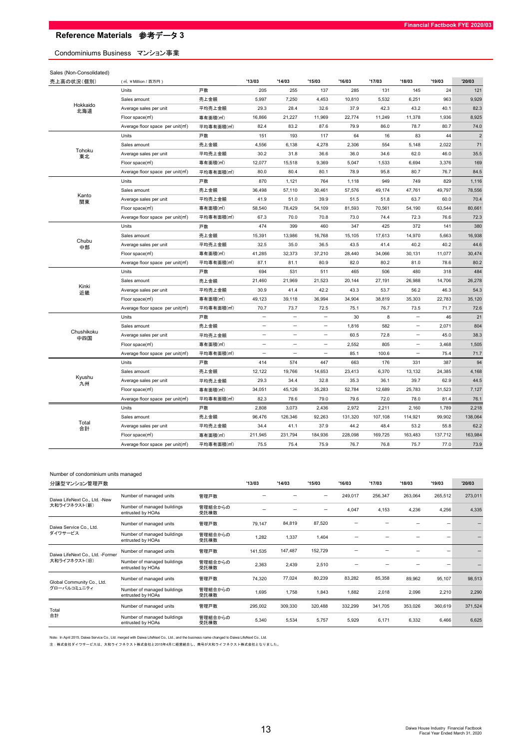## Condominiums Business マンション事業

| '20/03<br>'13/03<br>'14/03<br>'17/03<br>'18/03<br>'19/03<br>'15/03<br>'16/03<br>売上高の状況(個別)<br>(m, ¥Million / 百万円)<br>戸数<br>255<br>137<br>285<br>145<br>24<br>121<br>Units<br>205<br>131<br>売上金額<br>4,453<br>10,810<br>5,532<br>6,251<br>963<br>9,929<br>Sales amount<br>5,997<br>7,250<br>Hokkaido<br>82.3<br>Average sales per unit<br>29.3<br>28.4<br>32.6<br>37.9<br>42.3<br>43.2<br>40.1<br>平均売上金額<br>北海道<br>8,925<br>Floor space(m3)<br>専有面積(m2)<br>16,866<br>21,227<br>11,969<br>22,774<br>11,249<br>11,378<br>1,936<br>74.0<br>82.4<br>83.2<br>87.6<br>79.9<br>86.0<br>78.7<br>80.7<br>平均専有面積(m2)<br>Average floor space per unit(m)<br>$\overline{2}$<br>戸数<br>151<br>193<br>117<br>64<br>83<br>44<br>Units<br>16<br>4,278<br>71<br>4,556<br>6,138<br>2,306<br>554<br>5,148<br>2,022<br>Sales amount<br>売上金額<br>Tohoku<br>35.5<br>30.2<br>36.6<br>36.0<br>62.0<br>46.0<br>31.8<br>34.6<br>Average sales per unit<br>平均売上金額<br>東北<br>169<br>専有面積(m2)<br>12,077<br>15,518<br>9,369<br>5,047<br>1,533<br>6,694<br>3,376<br>Floor space(m3)<br>80.0<br>80.1<br>78.9<br>95.8<br>80.7<br>76.7<br>84.5<br>Average floor space per unit(m <sup>2</sup> )<br>平均専有面積(m2)<br>80.4<br>戸数<br>870<br>764<br>949<br>749<br>1,116<br>Units<br>1,121<br>1,118<br>829<br>36,498<br>57,110<br>30,461<br>57,576<br>49,174<br>47,761<br>49,797<br>78,556<br>Sales amount<br>売上金額<br>Kanto<br>39.9<br>63.7<br>60.0<br>70.4<br>Average sales per unit<br>41.9<br>51.0<br>51.5<br>51.8<br>平均売上金額<br>関東<br>70,561<br>63,544<br>80,661<br>Floor space(m3)<br>専有面積(m2)<br>58,540<br>78,429<br>54,109<br>81,593<br>54,190<br>70.8<br>76.6<br>72.3<br>Average floor space per unit(m <sup>2</sup> )<br>平均専有面積(m2)<br>67.3<br>70.0<br>73.0<br>74.4<br>72.3<br>戸数<br>380<br>Units<br>474<br>399<br>460<br>347<br>425<br>372<br>141<br>16,938<br>15,391<br>13,986<br>16,768<br>15,105<br>17,613<br>14,970<br>5,663<br>Sales amount<br>売上金額<br>Chubu<br>平均売上金額<br>32.5<br>35.0<br>36.5<br>43.5<br>41.4<br>40.2<br>40.2<br>44.6<br>Average sales per unit<br>中部<br>30,474<br>専有面積(m2)<br>41,285<br>32,373<br>37,210<br>28,440<br>34,066<br>30,131<br>11,077<br>Floor space(m3)<br>80.9<br>78.6<br>80.2<br>平均専有面積(m2)<br>87.1<br>82.0<br>80.2<br>81.0<br>Average floor space per unit(m)<br>81.1<br>484<br>Units<br>戸数<br>694<br>531<br>511<br>465<br>506<br>480<br>318<br>26,278<br>Sales amount<br>売上金額<br>21,460<br>21,969<br>21,523<br>20,144<br>27,191<br>26,988<br>14,706<br>Kinki<br>42.2<br>53.7<br>46.3<br>54.3<br>Average sales per unit<br>平均売上金額<br>30.9<br>41.4<br>43.3<br>56.2<br>近畿<br>35,120<br>49,123<br>39,118<br>36,994<br>34,904<br>38,819<br>35,303<br>22,783<br>Floor space(m3)<br>専有面積(m2)<br>平均専有面積(m2)<br>70.7<br>73.7<br>72.5<br>75.1<br>76.7<br>73.5<br>71.7<br>72.6<br>Average floor space per unit(m <sup>2</sup> )<br>30<br>8<br>46<br>21<br>Units<br>$\overline{\phantom{a}}$<br>$\qquad \qquad -$<br>戸数<br>$\overline{\phantom{0}}$<br>$\overline{\phantom{a}}$<br>804<br>582<br>2,071<br>Sales amount<br>1,816<br>売上金額<br>$\overline{\phantom{0}}$<br>$\overline{\phantom{0}}$<br>$\overline{\phantom{0}}$<br>Chushikoku<br>38.3<br>Average sales per unit<br>平均売上金額<br>$\overline{\phantom{0}}$<br>۳<br>60.5<br>72.8<br>$\overline{\phantom{0}}$<br>45.0<br>۰<br>中四国<br>専有面積(m2)<br>2,552<br>805<br>3,468<br>1,505<br>Floor space(m3)<br>$\overline{\phantom{0}}$<br>-<br>85.1<br>100.6<br>75.4<br>71.7<br>Average floor space per unit(m <sup>2</sup> )<br>平均専有面積(m2)<br>$\overline{\phantom{0}}$<br>$\overline{\phantom{a}}$<br>Ξ<br>94<br>Units<br>戸数<br>414<br>574<br>447<br>663<br>176<br>331<br>387<br>12,122<br>19,766<br>14,653<br>23,413<br>6,370<br>13,132<br>24,385<br>4,168<br>Sales amount<br>売上金額<br>Kyushu<br>62.9<br>44.5<br>平均売上金額<br>29.3<br>34.4<br>32.8<br>35.3<br>36.1<br>39.7<br>Average sales per unit<br>九州<br>35,283<br>52,784<br>12,689<br>25,783<br>7,127<br>Floor space( $m2$ )<br>専有面積(m2)<br>34,051<br>45,126<br>31,523<br>76.1<br>Average floor space per unit(m3)<br>平均専有面積(m2)<br>82.3<br>78.6<br>79.0<br>79.6<br>72.0<br>78.0<br>81.4<br>2,218<br>Units<br>2,808<br>3,073<br>2,436<br>2,972<br>2,211<br>2,160<br>1,789<br>戸数<br>売上金額<br>96,476<br>126,346<br>92,263<br>131,320<br>107,108<br>114,921<br>99,902<br>138,064<br>Sales amount<br>Total<br>55.8<br>62.2<br>平均売上金額<br>37.9<br>44.2<br>53.2<br>Average sales per unit<br>34.4<br>41.1<br>48.4<br>合計<br>163,984<br>211,945<br>231,794<br>184,936<br>228,098<br>169,725<br>137,712<br>専有面積(m2)<br>163,483<br>Floor space(m <sup>2</sup> )<br>73.9<br>平均専有面積(m2)<br>75.5<br>75.4<br>75.9<br>76.7<br>76.8<br>75.7<br>77.0<br>Average floor space per unit(m) | Sales (Non-Consolidated) |  |  |  |  |  |
|------------------------------------------------------------------------------------------------------------------------------------------------------------------------------------------------------------------------------------------------------------------------------------------------------------------------------------------------------------------------------------------------------------------------------------------------------------------------------------------------------------------------------------------------------------------------------------------------------------------------------------------------------------------------------------------------------------------------------------------------------------------------------------------------------------------------------------------------------------------------------------------------------------------------------------------------------------------------------------------------------------------------------------------------------------------------------------------------------------------------------------------------------------------------------------------------------------------------------------------------------------------------------------------------------------------------------------------------------------------------------------------------------------------------------------------------------------------------------------------------------------------------------------------------------------------------------------------------------------------------------------------------------------------------------------------------------------------------------------------------------------------------------------------------------------------------------------------------------------------------------------------------------------------------------------------------------------------------------------------------------------------------------------------------------------------------------------------------------------------------------------------------------------------------------------------------------------------------------------------------------------------------------------------------------------------------------------------------------------------------------------------------------------------------------------------------------------------------------------------------------------------------------------------------------------------------------------------------------------------------------------------------------------------------------------------------------------------------------------------------------------------------------------------------------------------------------------------------------------------------------------------------------------------------------------------------------------------------------------------------------------------------------------------------------------------------------------------------------------------------------------------------------------------------------------------------------------------------------------------------------------------------------------------------------------------------------------------------------------------------------------------------------------------------------------------------------------------------------------------------------------------------------------------------------------------------------------------------------------------------------------------------------------------------------------------------------------------------------------------------------------------------------------------------------------------------------------------------------------------------------------------------------------------------------------------------------------------------------------------------------------------------------------------------------------------------------------------------------------------------------------------------------------------------------------------------------------------------------------------------------------------------------------------------------------------------------------------------------------------------------------------------------------------------------------------------------------------------------------------------------------------------------------------------------------------------------------------------------------------------------------------------------------|--------------------------|--|--|--|--|--|
|                                                                                                                                                                                                                                                                                                                                                                                                                                                                                                                                                                                                                                                                                                                                                                                                                                                                                                                                                                                                                                                                                                                                                                                                                                                                                                                                                                                                                                                                                                                                                                                                                                                                                                                                                                                                                                                                                                                                                                                                                                                                                                                                                                                                                                                                                                                                                                                                                                                                                                                                                                                                                                                                                                                                                                                                                                                                                                                                                                                                                                                                                                                                                                                                                                                                                                                                                                                                                                                                                                                                                                                                                                                                                                                                                                                                                                                                                                                                                                                                                                                                                                                                                                                                                                                                                                                                                                                                                                                                                                                                                                                                                                                            |                          |  |  |  |  |  |
|                                                                                                                                                                                                                                                                                                                                                                                                                                                                                                                                                                                                                                                                                                                                                                                                                                                                                                                                                                                                                                                                                                                                                                                                                                                                                                                                                                                                                                                                                                                                                                                                                                                                                                                                                                                                                                                                                                                                                                                                                                                                                                                                                                                                                                                                                                                                                                                                                                                                                                                                                                                                                                                                                                                                                                                                                                                                                                                                                                                                                                                                                                                                                                                                                                                                                                                                                                                                                                                                                                                                                                                                                                                                                                                                                                                                                                                                                                                                                                                                                                                                                                                                                                                                                                                                                                                                                                                                                                                                                                                                                                                                                                                            |                          |  |  |  |  |  |
|                                                                                                                                                                                                                                                                                                                                                                                                                                                                                                                                                                                                                                                                                                                                                                                                                                                                                                                                                                                                                                                                                                                                                                                                                                                                                                                                                                                                                                                                                                                                                                                                                                                                                                                                                                                                                                                                                                                                                                                                                                                                                                                                                                                                                                                                                                                                                                                                                                                                                                                                                                                                                                                                                                                                                                                                                                                                                                                                                                                                                                                                                                                                                                                                                                                                                                                                                                                                                                                                                                                                                                                                                                                                                                                                                                                                                                                                                                                                                                                                                                                                                                                                                                                                                                                                                                                                                                                                                                                                                                                                                                                                                                                            |                          |  |  |  |  |  |
|                                                                                                                                                                                                                                                                                                                                                                                                                                                                                                                                                                                                                                                                                                                                                                                                                                                                                                                                                                                                                                                                                                                                                                                                                                                                                                                                                                                                                                                                                                                                                                                                                                                                                                                                                                                                                                                                                                                                                                                                                                                                                                                                                                                                                                                                                                                                                                                                                                                                                                                                                                                                                                                                                                                                                                                                                                                                                                                                                                                                                                                                                                                                                                                                                                                                                                                                                                                                                                                                                                                                                                                                                                                                                                                                                                                                                                                                                                                                                                                                                                                                                                                                                                                                                                                                                                                                                                                                                                                                                                                                                                                                                                                            |                          |  |  |  |  |  |
|                                                                                                                                                                                                                                                                                                                                                                                                                                                                                                                                                                                                                                                                                                                                                                                                                                                                                                                                                                                                                                                                                                                                                                                                                                                                                                                                                                                                                                                                                                                                                                                                                                                                                                                                                                                                                                                                                                                                                                                                                                                                                                                                                                                                                                                                                                                                                                                                                                                                                                                                                                                                                                                                                                                                                                                                                                                                                                                                                                                                                                                                                                                                                                                                                                                                                                                                                                                                                                                                                                                                                                                                                                                                                                                                                                                                                                                                                                                                                                                                                                                                                                                                                                                                                                                                                                                                                                                                                                                                                                                                                                                                                                                            |                          |  |  |  |  |  |
|                                                                                                                                                                                                                                                                                                                                                                                                                                                                                                                                                                                                                                                                                                                                                                                                                                                                                                                                                                                                                                                                                                                                                                                                                                                                                                                                                                                                                                                                                                                                                                                                                                                                                                                                                                                                                                                                                                                                                                                                                                                                                                                                                                                                                                                                                                                                                                                                                                                                                                                                                                                                                                                                                                                                                                                                                                                                                                                                                                                                                                                                                                                                                                                                                                                                                                                                                                                                                                                                                                                                                                                                                                                                                                                                                                                                                                                                                                                                                                                                                                                                                                                                                                                                                                                                                                                                                                                                                                                                                                                                                                                                                                                            |                          |  |  |  |  |  |
|                                                                                                                                                                                                                                                                                                                                                                                                                                                                                                                                                                                                                                                                                                                                                                                                                                                                                                                                                                                                                                                                                                                                                                                                                                                                                                                                                                                                                                                                                                                                                                                                                                                                                                                                                                                                                                                                                                                                                                                                                                                                                                                                                                                                                                                                                                                                                                                                                                                                                                                                                                                                                                                                                                                                                                                                                                                                                                                                                                                                                                                                                                                                                                                                                                                                                                                                                                                                                                                                                                                                                                                                                                                                                                                                                                                                                                                                                                                                                                                                                                                                                                                                                                                                                                                                                                                                                                                                                                                                                                                                                                                                                                                            |                          |  |  |  |  |  |
|                                                                                                                                                                                                                                                                                                                                                                                                                                                                                                                                                                                                                                                                                                                                                                                                                                                                                                                                                                                                                                                                                                                                                                                                                                                                                                                                                                                                                                                                                                                                                                                                                                                                                                                                                                                                                                                                                                                                                                                                                                                                                                                                                                                                                                                                                                                                                                                                                                                                                                                                                                                                                                                                                                                                                                                                                                                                                                                                                                                                                                                                                                                                                                                                                                                                                                                                                                                                                                                                                                                                                                                                                                                                                                                                                                                                                                                                                                                                                                                                                                                                                                                                                                                                                                                                                                                                                                                                                                                                                                                                                                                                                                                            |                          |  |  |  |  |  |
|                                                                                                                                                                                                                                                                                                                                                                                                                                                                                                                                                                                                                                                                                                                                                                                                                                                                                                                                                                                                                                                                                                                                                                                                                                                                                                                                                                                                                                                                                                                                                                                                                                                                                                                                                                                                                                                                                                                                                                                                                                                                                                                                                                                                                                                                                                                                                                                                                                                                                                                                                                                                                                                                                                                                                                                                                                                                                                                                                                                                                                                                                                                                                                                                                                                                                                                                                                                                                                                                                                                                                                                                                                                                                                                                                                                                                                                                                                                                                                                                                                                                                                                                                                                                                                                                                                                                                                                                                                                                                                                                                                                                                                                            |                          |  |  |  |  |  |
|                                                                                                                                                                                                                                                                                                                                                                                                                                                                                                                                                                                                                                                                                                                                                                                                                                                                                                                                                                                                                                                                                                                                                                                                                                                                                                                                                                                                                                                                                                                                                                                                                                                                                                                                                                                                                                                                                                                                                                                                                                                                                                                                                                                                                                                                                                                                                                                                                                                                                                                                                                                                                                                                                                                                                                                                                                                                                                                                                                                                                                                                                                                                                                                                                                                                                                                                                                                                                                                                                                                                                                                                                                                                                                                                                                                                                                                                                                                                                                                                                                                                                                                                                                                                                                                                                                                                                                                                                                                                                                                                                                                                                                                            |                          |  |  |  |  |  |
|                                                                                                                                                                                                                                                                                                                                                                                                                                                                                                                                                                                                                                                                                                                                                                                                                                                                                                                                                                                                                                                                                                                                                                                                                                                                                                                                                                                                                                                                                                                                                                                                                                                                                                                                                                                                                                                                                                                                                                                                                                                                                                                                                                                                                                                                                                                                                                                                                                                                                                                                                                                                                                                                                                                                                                                                                                                                                                                                                                                                                                                                                                                                                                                                                                                                                                                                                                                                                                                                                                                                                                                                                                                                                                                                                                                                                                                                                                                                                                                                                                                                                                                                                                                                                                                                                                                                                                                                                                                                                                                                                                                                                                                            |                          |  |  |  |  |  |
|                                                                                                                                                                                                                                                                                                                                                                                                                                                                                                                                                                                                                                                                                                                                                                                                                                                                                                                                                                                                                                                                                                                                                                                                                                                                                                                                                                                                                                                                                                                                                                                                                                                                                                                                                                                                                                                                                                                                                                                                                                                                                                                                                                                                                                                                                                                                                                                                                                                                                                                                                                                                                                                                                                                                                                                                                                                                                                                                                                                                                                                                                                                                                                                                                                                                                                                                                                                                                                                                                                                                                                                                                                                                                                                                                                                                                                                                                                                                                                                                                                                                                                                                                                                                                                                                                                                                                                                                                                                                                                                                                                                                                                                            |                          |  |  |  |  |  |
|                                                                                                                                                                                                                                                                                                                                                                                                                                                                                                                                                                                                                                                                                                                                                                                                                                                                                                                                                                                                                                                                                                                                                                                                                                                                                                                                                                                                                                                                                                                                                                                                                                                                                                                                                                                                                                                                                                                                                                                                                                                                                                                                                                                                                                                                                                                                                                                                                                                                                                                                                                                                                                                                                                                                                                                                                                                                                                                                                                                                                                                                                                                                                                                                                                                                                                                                                                                                                                                                                                                                                                                                                                                                                                                                                                                                                                                                                                                                                                                                                                                                                                                                                                                                                                                                                                                                                                                                                                                                                                                                                                                                                                                            |                          |  |  |  |  |  |
|                                                                                                                                                                                                                                                                                                                                                                                                                                                                                                                                                                                                                                                                                                                                                                                                                                                                                                                                                                                                                                                                                                                                                                                                                                                                                                                                                                                                                                                                                                                                                                                                                                                                                                                                                                                                                                                                                                                                                                                                                                                                                                                                                                                                                                                                                                                                                                                                                                                                                                                                                                                                                                                                                                                                                                                                                                                                                                                                                                                                                                                                                                                                                                                                                                                                                                                                                                                                                                                                                                                                                                                                                                                                                                                                                                                                                                                                                                                                                                                                                                                                                                                                                                                                                                                                                                                                                                                                                                                                                                                                                                                                                                                            |                          |  |  |  |  |  |
|                                                                                                                                                                                                                                                                                                                                                                                                                                                                                                                                                                                                                                                                                                                                                                                                                                                                                                                                                                                                                                                                                                                                                                                                                                                                                                                                                                                                                                                                                                                                                                                                                                                                                                                                                                                                                                                                                                                                                                                                                                                                                                                                                                                                                                                                                                                                                                                                                                                                                                                                                                                                                                                                                                                                                                                                                                                                                                                                                                                                                                                                                                                                                                                                                                                                                                                                                                                                                                                                                                                                                                                                                                                                                                                                                                                                                                                                                                                                                                                                                                                                                                                                                                                                                                                                                                                                                                                                                                                                                                                                                                                                                                                            |                          |  |  |  |  |  |
|                                                                                                                                                                                                                                                                                                                                                                                                                                                                                                                                                                                                                                                                                                                                                                                                                                                                                                                                                                                                                                                                                                                                                                                                                                                                                                                                                                                                                                                                                                                                                                                                                                                                                                                                                                                                                                                                                                                                                                                                                                                                                                                                                                                                                                                                                                                                                                                                                                                                                                                                                                                                                                                                                                                                                                                                                                                                                                                                                                                                                                                                                                                                                                                                                                                                                                                                                                                                                                                                                                                                                                                                                                                                                                                                                                                                                                                                                                                                                                                                                                                                                                                                                                                                                                                                                                                                                                                                                                                                                                                                                                                                                                                            |                          |  |  |  |  |  |
|                                                                                                                                                                                                                                                                                                                                                                                                                                                                                                                                                                                                                                                                                                                                                                                                                                                                                                                                                                                                                                                                                                                                                                                                                                                                                                                                                                                                                                                                                                                                                                                                                                                                                                                                                                                                                                                                                                                                                                                                                                                                                                                                                                                                                                                                                                                                                                                                                                                                                                                                                                                                                                                                                                                                                                                                                                                                                                                                                                                                                                                                                                                                                                                                                                                                                                                                                                                                                                                                                                                                                                                                                                                                                                                                                                                                                                                                                                                                                                                                                                                                                                                                                                                                                                                                                                                                                                                                                                                                                                                                                                                                                                                            |                          |  |  |  |  |  |
|                                                                                                                                                                                                                                                                                                                                                                                                                                                                                                                                                                                                                                                                                                                                                                                                                                                                                                                                                                                                                                                                                                                                                                                                                                                                                                                                                                                                                                                                                                                                                                                                                                                                                                                                                                                                                                                                                                                                                                                                                                                                                                                                                                                                                                                                                                                                                                                                                                                                                                                                                                                                                                                                                                                                                                                                                                                                                                                                                                                                                                                                                                                                                                                                                                                                                                                                                                                                                                                                                                                                                                                                                                                                                                                                                                                                                                                                                                                                                                                                                                                                                                                                                                                                                                                                                                                                                                                                                                                                                                                                                                                                                                                            |                          |  |  |  |  |  |
|                                                                                                                                                                                                                                                                                                                                                                                                                                                                                                                                                                                                                                                                                                                                                                                                                                                                                                                                                                                                                                                                                                                                                                                                                                                                                                                                                                                                                                                                                                                                                                                                                                                                                                                                                                                                                                                                                                                                                                                                                                                                                                                                                                                                                                                                                                                                                                                                                                                                                                                                                                                                                                                                                                                                                                                                                                                                                                                                                                                                                                                                                                                                                                                                                                                                                                                                                                                                                                                                                                                                                                                                                                                                                                                                                                                                                                                                                                                                                                                                                                                                                                                                                                                                                                                                                                                                                                                                                                                                                                                                                                                                                                                            |                          |  |  |  |  |  |
|                                                                                                                                                                                                                                                                                                                                                                                                                                                                                                                                                                                                                                                                                                                                                                                                                                                                                                                                                                                                                                                                                                                                                                                                                                                                                                                                                                                                                                                                                                                                                                                                                                                                                                                                                                                                                                                                                                                                                                                                                                                                                                                                                                                                                                                                                                                                                                                                                                                                                                                                                                                                                                                                                                                                                                                                                                                                                                                                                                                                                                                                                                                                                                                                                                                                                                                                                                                                                                                                                                                                                                                                                                                                                                                                                                                                                                                                                                                                                                                                                                                                                                                                                                                                                                                                                                                                                                                                                                                                                                                                                                                                                                                            |                          |  |  |  |  |  |
|                                                                                                                                                                                                                                                                                                                                                                                                                                                                                                                                                                                                                                                                                                                                                                                                                                                                                                                                                                                                                                                                                                                                                                                                                                                                                                                                                                                                                                                                                                                                                                                                                                                                                                                                                                                                                                                                                                                                                                                                                                                                                                                                                                                                                                                                                                                                                                                                                                                                                                                                                                                                                                                                                                                                                                                                                                                                                                                                                                                                                                                                                                                                                                                                                                                                                                                                                                                                                                                                                                                                                                                                                                                                                                                                                                                                                                                                                                                                                                                                                                                                                                                                                                                                                                                                                                                                                                                                                                                                                                                                                                                                                                                            |                          |  |  |  |  |  |
|                                                                                                                                                                                                                                                                                                                                                                                                                                                                                                                                                                                                                                                                                                                                                                                                                                                                                                                                                                                                                                                                                                                                                                                                                                                                                                                                                                                                                                                                                                                                                                                                                                                                                                                                                                                                                                                                                                                                                                                                                                                                                                                                                                                                                                                                                                                                                                                                                                                                                                                                                                                                                                                                                                                                                                                                                                                                                                                                                                                                                                                                                                                                                                                                                                                                                                                                                                                                                                                                                                                                                                                                                                                                                                                                                                                                                                                                                                                                                                                                                                                                                                                                                                                                                                                                                                                                                                                                                                                                                                                                                                                                                                                            |                          |  |  |  |  |  |
|                                                                                                                                                                                                                                                                                                                                                                                                                                                                                                                                                                                                                                                                                                                                                                                                                                                                                                                                                                                                                                                                                                                                                                                                                                                                                                                                                                                                                                                                                                                                                                                                                                                                                                                                                                                                                                                                                                                                                                                                                                                                                                                                                                                                                                                                                                                                                                                                                                                                                                                                                                                                                                                                                                                                                                                                                                                                                                                                                                                                                                                                                                                                                                                                                                                                                                                                                                                                                                                                                                                                                                                                                                                                                                                                                                                                                                                                                                                                                                                                                                                                                                                                                                                                                                                                                                                                                                                                                                                                                                                                                                                                                                                            |                          |  |  |  |  |  |
|                                                                                                                                                                                                                                                                                                                                                                                                                                                                                                                                                                                                                                                                                                                                                                                                                                                                                                                                                                                                                                                                                                                                                                                                                                                                                                                                                                                                                                                                                                                                                                                                                                                                                                                                                                                                                                                                                                                                                                                                                                                                                                                                                                                                                                                                                                                                                                                                                                                                                                                                                                                                                                                                                                                                                                                                                                                                                                                                                                                                                                                                                                                                                                                                                                                                                                                                                                                                                                                                                                                                                                                                                                                                                                                                                                                                                                                                                                                                                                                                                                                                                                                                                                                                                                                                                                                                                                                                                                                                                                                                                                                                                                                            |                          |  |  |  |  |  |
|                                                                                                                                                                                                                                                                                                                                                                                                                                                                                                                                                                                                                                                                                                                                                                                                                                                                                                                                                                                                                                                                                                                                                                                                                                                                                                                                                                                                                                                                                                                                                                                                                                                                                                                                                                                                                                                                                                                                                                                                                                                                                                                                                                                                                                                                                                                                                                                                                                                                                                                                                                                                                                                                                                                                                                                                                                                                                                                                                                                                                                                                                                                                                                                                                                                                                                                                                                                                                                                                                                                                                                                                                                                                                                                                                                                                                                                                                                                                                                                                                                                                                                                                                                                                                                                                                                                                                                                                                                                                                                                                                                                                                                                            |                          |  |  |  |  |  |
|                                                                                                                                                                                                                                                                                                                                                                                                                                                                                                                                                                                                                                                                                                                                                                                                                                                                                                                                                                                                                                                                                                                                                                                                                                                                                                                                                                                                                                                                                                                                                                                                                                                                                                                                                                                                                                                                                                                                                                                                                                                                                                                                                                                                                                                                                                                                                                                                                                                                                                                                                                                                                                                                                                                                                                                                                                                                                                                                                                                                                                                                                                                                                                                                                                                                                                                                                                                                                                                                                                                                                                                                                                                                                                                                                                                                                                                                                                                                                                                                                                                                                                                                                                                                                                                                                                                                                                                                                                                                                                                                                                                                                                                            |                          |  |  |  |  |  |
|                                                                                                                                                                                                                                                                                                                                                                                                                                                                                                                                                                                                                                                                                                                                                                                                                                                                                                                                                                                                                                                                                                                                                                                                                                                                                                                                                                                                                                                                                                                                                                                                                                                                                                                                                                                                                                                                                                                                                                                                                                                                                                                                                                                                                                                                                                                                                                                                                                                                                                                                                                                                                                                                                                                                                                                                                                                                                                                                                                                                                                                                                                                                                                                                                                                                                                                                                                                                                                                                                                                                                                                                                                                                                                                                                                                                                                                                                                                                                                                                                                                                                                                                                                                                                                                                                                                                                                                                                                                                                                                                                                                                                                                            |                          |  |  |  |  |  |
|                                                                                                                                                                                                                                                                                                                                                                                                                                                                                                                                                                                                                                                                                                                                                                                                                                                                                                                                                                                                                                                                                                                                                                                                                                                                                                                                                                                                                                                                                                                                                                                                                                                                                                                                                                                                                                                                                                                                                                                                                                                                                                                                                                                                                                                                                                                                                                                                                                                                                                                                                                                                                                                                                                                                                                                                                                                                                                                                                                                                                                                                                                                                                                                                                                                                                                                                                                                                                                                                                                                                                                                                                                                                                                                                                                                                                                                                                                                                                                                                                                                                                                                                                                                                                                                                                                                                                                                                                                                                                                                                                                                                                                                            |                          |  |  |  |  |  |
|                                                                                                                                                                                                                                                                                                                                                                                                                                                                                                                                                                                                                                                                                                                                                                                                                                                                                                                                                                                                                                                                                                                                                                                                                                                                                                                                                                                                                                                                                                                                                                                                                                                                                                                                                                                                                                                                                                                                                                                                                                                                                                                                                                                                                                                                                                                                                                                                                                                                                                                                                                                                                                                                                                                                                                                                                                                                                                                                                                                                                                                                                                                                                                                                                                                                                                                                                                                                                                                                                                                                                                                                                                                                                                                                                                                                                                                                                                                                                                                                                                                                                                                                                                                                                                                                                                                                                                                                                                                                                                                                                                                                                                                            |                          |  |  |  |  |  |
|                                                                                                                                                                                                                                                                                                                                                                                                                                                                                                                                                                                                                                                                                                                                                                                                                                                                                                                                                                                                                                                                                                                                                                                                                                                                                                                                                                                                                                                                                                                                                                                                                                                                                                                                                                                                                                                                                                                                                                                                                                                                                                                                                                                                                                                                                                                                                                                                                                                                                                                                                                                                                                                                                                                                                                                                                                                                                                                                                                                                                                                                                                                                                                                                                                                                                                                                                                                                                                                                                                                                                                                                                                                                                                                                                                                                                                                                                                                                                                                                                                                                                                                                                                                                                                                                                                                                                                                                                                                                                                                                                                                                                                                            |                          |  |  |  |  |  |
|                                                                                                                                                                                                                                                                                                                                                                                                                                                                                                                                                                                                                                                                                                                                                                                                                                                                                                                                                                                                                                                                                                                                                                                                                                                                                                                                                                                                                                                                                                                                                                                                                                                                                                                                                                                                                                                                                                                                                                                                                                                                                                                                                                                                                                                                                                                                                                                                                                                                                                                                                                                                                                                                                                                                                                                                                                                                                                                                                                                                                                                                                                                                                                                                                                                                                                                                                                                                                                                                                                                                                                                                                                                                                                                                                                                                                                                                                                                                                                                                                                                                                                                                                                                                                                                                                                                                                                                                                                                                                                                                                                                                                                                            |                          |  |  |  |  |  |
|                                                                                                                                                                                                                                                                                                                                                                                                                                                                                                                                                                                                                                                                                                                                                                                                                                                                                                                                                                                                                                                                                                                                                                                                                                                                                                                                                                                                                                                                                                                                                                                                                                                                                                                                                                                                                                                                                                                                                                                                                                                                                                                                                                                                                                                                                                                                                                                                                                                                                                                                                                                                                                                                                                                                                                                                                                                                                                                                                                                                                                                                                                                                                                                                                                                                                                                                                                                                                                                                                                                                                                                                                                                                                                                                                                                                                                                                                                                                                                                                                                                                                                                                                                                                                                                                                                                                                                                                                                                                                                                                                                                                                                                            |                          |  |  |  |  |  |
|                                                                                                                                                                                                                                                                                                                                                                                                                                                                                                                                                                                                                                                                                                                                                                                                                                                                                                                                                                                                                                                                                                                                                                                                                                                                                                                                                                                                                                                                                                                                                                                                                                                                                                                                                                                                                                                                                                                                                                                                                                                                                                                                                                                                                                                                                                                                                                                                                                                                                                                                                                                                                                                                                                                                                                                                                                                                                                                                                                                                                                                                                                                                                                                                                                                                                                                                                                                                                                                                                                                                                                                                                                                                                                                                                                                                                                                                                                                                                                                                                                                                                                                                                                                                                                                                                                                                                                                                                                                                                                                                                                                                                                                            |                          |  |  |  |  |  |
|                                                                                                                                                                                                                                                                                                                                                                                                                                                                                                                                                                                                                                                                                                                                                                                                                                                                                                                                                                                                                                                                                                                                                                                                                                                                                                                                                                                                                                                                                                                                                                                                                                                                                                                                                                                                                                                                                                                                                                                                                                                                                                                                                                                                                                                                                                                                                                                                                                                                                                                                                                                                                                                                                                                                                                                                                                                                                                                                                                                                                                                                                                                                                                                                                                                                                                                                                                                                                                                                                                                                                                                                                                                                                                                                                                                                                                                                                                                                                                                                                                                                                                                                                                                                                                                                                                                                                                                                                                                                                                                                                                                                                                                            |                          |  |  |  |  |  |
|                                                                                                                                                                                                                                                                                                                                                                                                                                                                                                                                                                                                                                                                                                                                                                                                                                                                                                                                                                                                                                                                                                                                                                                                                                                                                                                                                                                                                                                                                                                                                                                                                                                                                                                                                                                                                                                                                                                                                                                                                                                                                                                                                                                                                                                                                                                                                                                                                                                                                                                                                                                                                                                                                                                                                                                                                                                                                                                                                                                                                                                                                                                                                                                                                                                                                                                                                                                                                                                                                                                                                                                                                                                                                                                                                                                                                                                                                                                                                                                                                                                                                                                                                                                                                                                                                                                                                                                                                                                                                                                                                                                                                                                            |                          |  |  |  |  |  |
|                                                                                                                                                                                                                                                                                                                                                                                                                                                                                                                                                                                                                                                                                                                                                                                                                                                                                                                                                                                                                                                                                                                                                                                                                                                                                                                                                                                                                                                                                                                                                                                                                                                                                                                                                                                                                                                                                                                                                                                                                                                                                                                                                                                                                                                                                                                                                                                                                                                                                                                                                                                                                                                                                                                                                                                                                                                                                                                                                                                                                                                                                                                                                                                                                                                                                                                                                                                                                                                                                                                                                                                                                                                                                                                                                                                                                                                                                                                                                                                                                                                                                                                                                                                                                                                                                                                                                                                                                                                                                                                                                                                                                                                            |                          |  |  |  |  |  |
|                                                                                                                                                                                                                                                                                                                                                                                                                                                                                                                                                                                                                                                                                                                                                                                                                                                                                                                                                                                                                                                                                                                                                                                                                                                                                                                                                                                                                                                                                                                                                                                                                                                                                                                                                                                                                                                                                                                                                                                                                                                                                                                                                                                                                                                                                                                                                                                                                                                                                                                                                                                                                                                                                                                                                                                                                                                                                                                                                                                                                                                                                                                                                                                                                                                                                                                                                                                                                                                                                                                                                                                                                                                                                                                                                                                                                                                                                                                                                                                                                                                                                                                                                                                                                                                                                                                                                                                                                                                                                                                                                                                                                                                            |                          |  |  |  |  |  |
|                                                                                                                                                                                                                                                                                                                                                                                                                                                                                                                                                                                                                                                                                                                                                                                                                                                                                                                                                                                                                                                                                                                                                                                                                                                                                                                                                                                                                                                                                                                                                                                                                                                                                                                                                                                                                                                                                                                                                                                                                                                                                                                                                                                                                                                                                                                                                                                                                                                                                                                                                                                                                                                                                                                                                                                                                                                                                                                                                                                                                                                                                                                                                                                                                                                                                                                                                                                                                                                                                                                                                                                                                                                                                                                                                                                                                                                                                                                                                                                                                                                                                                                                                                                                                                                                                                                                                                                                                                                                                                                                                                                                                                                            |                          |  |  |  |  |  |
|                                                                                                                                                                                                                                                                                                                                                                                                                                                                                                                                                                                                                                                                                                                                                                                                                                                                                                                                                                                                                                                                                                                                                                                                                                                                                                                                                                                                                                                                                                                                                                                                                                                                                                                                                                                                                                                                                                                                                                                                                                                                                                                                                                                                                                                                                                                                                                                                                                                                                                                                                                                                                                                                                                                                                                                                                                                                                                                                                                                                                                                                                                                                                                                                                                                                                                                                                                                                                                                                                                                                                                                                                                                                                                                                                                                                                                                                                                                                                                                                                                                                                                                                                                                                                                                                                                                                                                                                                                                                                                                                                                                                                                                            |                          |  |  |  |  |  |
|                                                                                                                                                                                                                                                                                                                                                                                                                                                                                                                                                                                                                                                                                                                                                                                                                                                                                                                                                                                                                                                                                                                                                                                                                                                                                                                                                                                                                                                                                                                                                                                                                                                                                                                                                                                                                                                                                                                                                                                                                                                                                                                                                                                                                                                                                                                                                                                                                                                                                                                                                                                                                                                                                                                                                                                                                                                                                                                                                                                                                                                                                                                                                                                                                                                                                                                                                                                                                                                                                                                                                                                                                                                                                                                                                                                                                                                                                                                                                                                                                                                                                                                                                                                                                                                                                                                                                                                                                                                                                                                                                                                                                                                            |                          |  |  |  |  |  |
|                                                                                                                                                                                                                                                                                                                                                                                                                                                                                                                                                                                                                                                                                                                                                                                                                                                                                                                                                                                                                                                                                                                                                                                                                                                                                                                                                                                                                                                                                                                                                                                                                                                                                                                                                                                                                                                                                                                                                                                                                                                                                                                                                                                                                                                                                                                                                                                                                                                                                                                                                                                                                                                                                                                                                                                                                                                                                                                                                                                                                                                                                                                                                                                                                                                                                                                                                                                                                                                                                                                                                                                                                                                                                                                                                                                                                                                                                                                                                                                                                                                                                                                                                                                                                                                                                                                                                                                                                                                                                                                                                                                                                                                            |                          |  |  |  |  |  |

#### Number of condominium units managed

| 分譲型マンション管理戸数                     |                                                  |                 | '13/03  | '14/03  | '15/03  | '16/03  | '17/03  | '18/03  | '19/03  | '20/03  |
|----------------------------------|--------------------------------------------------|-----------------|---------|---------|---------|---------|---------|---------|---------|---------|
| Daiwa LifeNext Co., Ltd. -New    | Number of managed units                          | 管理戸数            |         |         |         | 249,017 | 256,347 | 263,064 | 265,512 | 273,011 |
| 大和ライフネクスト(新)                     | Number of managed buildings<br>entrusted by HOAs | 管理組合からの<br>受託棟数 |         |         |         | 4,047   | 4,153   | 4,236   | 4,256   | 4,335   |
| Daiwa Service Co., Ltd.          | Number of managed units                          | 管理戸数            | 79,147  | 84,819  | 87,520  |         |         |         |         |         |
| ダイワサービス                          | Number of managed buildings<br>entrusted by HOAs | 管理組合からの<br>受託棟数 | 1,282   | 1,337   | 1,404   |         |         |         |         |         |
| Daiwa LifeNext Co., Ltd. -Former | Number of managed units                          | 管理戸数            | 141,535 | 147,487 | 152,729 |         |         |         |         |         |
| 大和ライフネクスト(旧)                     | Number of managed buildings<br>entrusted by HOAs | 管理組合からの<br>受託棟数 | 2,363   | 2,439   | 2,510   |         |         |         |         |         |
| Global Community Co., Ltd.       | Number of managed units                          | 管理戸数            | 74,320  | 77,024  | 80,239  | 83,282  | 85,358  | 89,962  | 95,107  | 98,513  |
| グローバルコミュニティ                      | Number of managed buildings<br>entrusted by HOAs | 管理組合からの<br>受託棟数 | 1,695   | 1,758   | 1,843   | 1,882   | 2,018   | 2,096   | 2,210   | 2,290   |
| Total                            | Number of managed units                          | 管理戸数            | 295,002 | 309,330 | 320,488 | 332,299 | 341,705 | 353,026 | 360,619 | 371,524 |
| 合計                               | Number of managed buildings<br>entrusted by HOAs | 管理組合からの<br>受託棟数 | 5,340   | 5,534   | 5,757   | 5,929   | 6,171   | 6,332   | 6,466   | 6,625   |

Note: In April 2015, Daiwa Service Co., Ltd. merged with Daiwa LifeNext Co., Ltd., and the business name changed to Daiwa LifeNext Co., Ltd.

注:株式会社ダイワサービスは、大和ライフネクスト株式会社と2015年4月に経営統合し、商号が大和ライフネクスト株式会社となりました。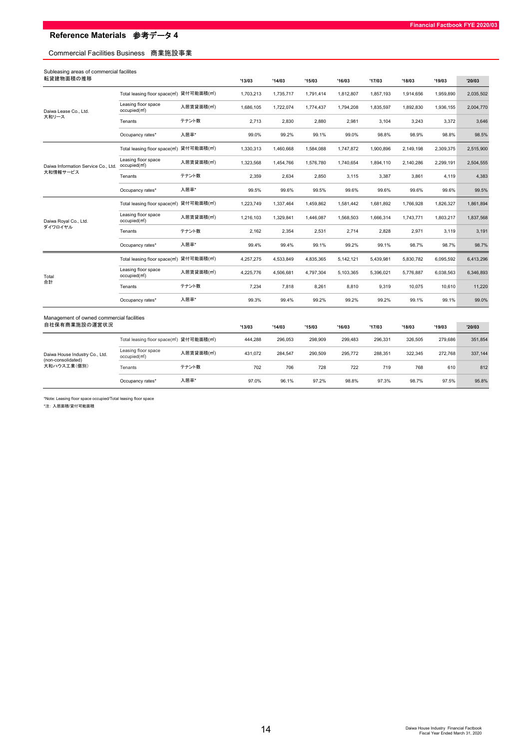## Commercial Facilities Business 商業施設事業

| Subleasing areas of commercial facilites<br>転貸建物面積の推移 |                                                                    |                         | '13/03    | '14/03    | '15/03    | '16/03    | '17/03    | '18/03    | '19/03    | '20/03    |
|-------------------------------------------------------|--------------------------------------------------------------------|-------------------------|-----------|-----------|-----------|-----------|-----------|-----------|-----------|-----------|
|                                                       | Total leasing floor space(m2) 貸付可能面積(m2)                           |                         | 1,703,213 | 1,735,717 | 1,791,414 | 1,812,807 | 1,857,193 | 1,914,656 | 1,959,890 | 2,035,502 |
| Daiwa Lease Co., Ltd.                                 | Leasing floor space<br>occupied(m <sup>2</sup> )                   | 入居賃貸面積(m <sup>2</sup> ) | 1,686,105 | 1,722,074 | 1,774,437 | 1,794,208 | 1,835,597 | 1,892,830 | 1,936,155 | 2,004,770 |
| 大和リース                                                 | Tenants                                                            | テナント数                   | 2,713     | 2,830     | 2,880     | 2,981     | 3,104     | 3,243     | 3,372     | 3,646     |
|                                                       | Occupancy rates*                                                   | 入居率*                    | 99.0%     | 99.2%     | 99.1%     | 99.0%     | 98.8%     | 98.9%     | 98.8%     | 98.5%     |
|                                                       | Total leasing floor space(m <sup>2</sup> ) 貸付可能面積(m <sup>2</sup> ) |                         | 1,330,313 | 1,460,668 | 1,584,088 | 1,747,872 | 1,900,896 | 2,149,198 | 2,309,375 | 2,515,900 |
| Daiwa Information Service Co., Ltd.                   | Leasing floor space<br>occupied(m <sup>2</sup> )                   | 入居賃貸面積(m <sup>2</sup> ) | 1,323,568 | 1,454,766 | 1,576,780 | 1,740,654 | 1,894,110 | 2,140,286 | 2,299,191 | 2,504,555 |
| 大和情報サービス                                              | Tenants                                                            | テナント数                   | 2,359     | 2,634     | 2,850     | 3,115     | 3,387     | 3,861     | 4,119     | 4,383     |
|                                                       | Occupancy rates*                                                   | 入居率*                    | 99.5%     | 99.6%     | 99.5%     | 99.6%     | 99.6%     | 99.6%     | 99.6%     | 99.5%     |
|                                                       | Total leasing floor space(m2) 貸付可能面積(m2)                           |                         | 1,223,749 | 1,337,464 | 1,459,862 | 1,581,442 | 1,681,892 | 1,766,928 | 1,826,327 | 1,861,894 |
| Daiwa Royal Co., Ltd.                                 | Leasing floor space<br>occupied(m <sup>2</sup> )                   | 入居賃貸面積(m <sup>2</sup> ) | 1,216,103 | 1,329,841 | 1,446,087 | 1,568,503 | 1,666,314 | 1,743,771 | 1,803,217 | 1,837,568 |
| ダイワロイヤル                                               | Tenants                                                            | テナント数                   | 2,162     | 2,354     | 2,531     | 2,714     | 2,828     | 2,971     | 3,119     | 3,191     |
|                                                       | Occupancy rates*                                                   | 入居率*                    | 99.4%     | 99.4%     | 99.1%     | 99.2%     | 99.1%     | 98.7%     | 98.7%     | 98.7%     |
|                                                       | Total leasing floor space(m2) 貸付可能面積(m2)                           |                         | 4,257,275 | 4,533,849 | 4,835,365 | 5,142,121 | 5.439.981 | 5,830,782 | 6,095,592 | 6,413,296 |
| Total                                                 | Leasing floor space<br>occupied(m <sup>2</sup> )                   | 入居賃貸面積(m <sup>2</sup> ) | 4,225,776 | 4,506,681 | 4,797,304 | 5,103,365 | 5,396,021 | 5,776,887 | 6,038,563 | 6,346,893 |
| 合計                                                    | Tenants                                                            | テナント数                   | 7,234     | 7,818     | 8,261     | 8,810     | 9,319     | 10,075    | 10,610    | 11,220    |
|                                                       | Occupancy rates*                                                   | 入居率*                    | 99.3%     | 99.4%     | 99.2%     | 99.2%     | 99.2%     | 99.1%     | 99.1%     | 99.0%     |
| Management of owned commercial facilities             |                                                                    |                         |           |           |           |           |           |           |           |           |
| 自社保有商業施設の運営状況                                         |                                                                    |                         | '13/03    | '14/03    | '15/03    | '16/03    | '17/03    | '18/03    | '19/03    | '20/03    |
|                                                       | Total leasing floor space(m <sup>2</sup> ) 貸付可能面積(m <sup>2</sup> ) |                         | 444.288   | 296.053   | 298.909   | 299.483   | 296.331   | 326.505   | 279.686   | 351,854   |
| Daiwa House Industry Co., Ltd.<br>(non-consolidated)  | Leasing floor space<br>occupied(m <sup>2</sup> )                   | 入居賃貸面積(m <sup>2</sup> ) | 431,072   | 284,547   | 290,509   | 295,772   | 288,351   | 322,345   | 272,768   | 337,144   |
| 大和ハウス工業(個別)                                           | Tenants                                                            | テナント数                   | 702       | 706       | 728       | 722       | 719       | 768       | 610       | 812       |
|                                                       | Occupancy rates*                                                   | 入居率*                    | 97.0%     | 96.1%     | 97.2%     | 98.8%     | 97.3%     | 98.7%     | 97.5%     | 95.8%     |

\*Note: Leasing floor space occupied/Total leasing floor space

\*注: 入居面積/貸付可能面積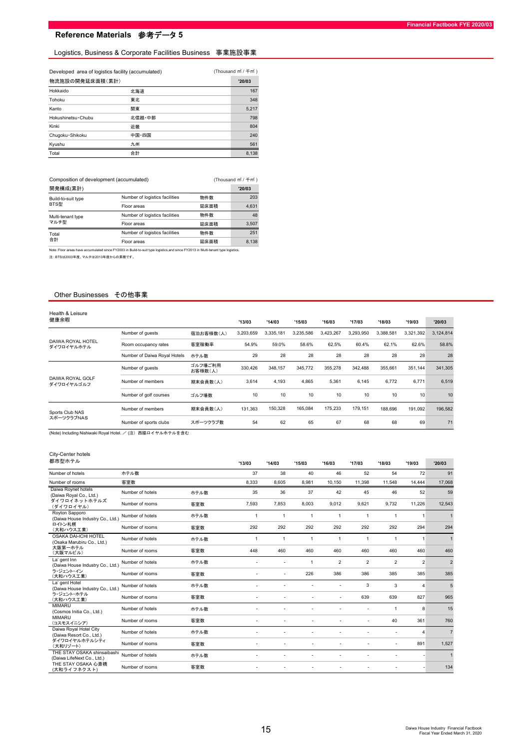#### Logistics, Business & Corporate Facilities Business 事業施設事業

| 物流施設の開発延床面積(累計)    |        | '20/03 |
|--------------------|--------|--------|
| Hokkaido           | 北海道    | 167    |
| Tohoku             | 東北     | 348    |
| Kanto              | 関東     | 5,217  |
| Hokushinetsu Chubu | 北信越·中部 | 798    |
| Kinki              | 近畿     | 804    |
| Chugoku · Shikoku  | 中国·四国  | 240    |
| Kyushu             | 九州     | 561    |
| Total              | 合計     | 8,138  |

| Composition of development (accumulated) |                                |      | (Thousand m <sup>2</sup> / 千 m <sup>2</sup> ) |
|------------------------------------------|--------------------------------|------|-----------------------------------------------|
| 開発構成(累計)                                 |                                |      | '20/03                                        |
| Build-to-suit type                       | Number of logistics facilities | 物件数  | 203                                           |
| BTS型                                     | Floor areas                    | 延床面積 | 4,631                                         |
| Multi-tenant type                        | Number of logistics facilities | 物件数  | 48                                            |
| マルチ型                                     | Floor areas                    | 延床面積 | 3.507                                         |
| Total                                    | Number of logistics facilities | 物件数  | 251                                           |
| 合計                                       | Floor areas                    | 延床面積 | 8.138                                         |

Note:Floor areas have accumulated since FY2003 in Build-to-suit type logistics,and since FY2013 in Multi-tenant type logistics.

注::BTSは2003年度、マルチは2013年度からの累積です。

#### Other Businesses その他事業

| Health & Leisure<br>健康余暇        |                              |                    | '13/03    | '14/03    | '15/03    | '16/03    | '17/03          | '18/03    | '19/03    | '20/03    |
|---------------------------------|------------------------------|--------------------|-----------|-----------|-----------|-----------|-----------------|-----------|-----------|-----------|
|                                 |                              |                    |           |           |           |           |                 |           |           |           |
|                                 | Number of quests             | 宿泊お客様数(人)          | 3,203,659 | 3,335,181 | 3,235,586 | 3,423,267 | 3,293,950       | 3.388.581 | 3,321,392 | 3,124,814 |
| DAIWA ROYAL HOTEL<br>ダイワロイヤルホテル | Room occupancy rates         | 客室稼働率              | 54.9%     | 59.0%     | 58.6%     | 62.5%     | 60.4%           | 62.1%     | 62.6%     | 58.8%     |
|                                 | Number of Daiwa Royal Hotels | ホテル数               | 29        | 28        | 28        | 28        | 28              | 28        | 28        | 28        |
|                                 | Number of quests             | ゴルフ場ご利用<br>お客様数(人) | 330,426   | 348.157   | 345.772   | 355,278   | 342.488         | 355.661   | 351.144   | 341,305   |
| DAIWA ROYAL GOLF<br>ダイワロイヤルゴルフ  | Number of members            | 期末会員数(人)           | 3,614     | 4,193     | 4.865     | 5,361     | 6.145           | 6.772     | 6,771     | 6,519     |
|                                 | Number of golf courses       | ゴルフ場数              | 10        | 10        | 10        | 10        | 10 <sup>1</sup> | 10        | 10        | 10        |
| Sports Club NAS                 | Number of members            | 期末会員数(人)           | 131,363   | 150,328   | 165.084   | 175,233   | 179,151         | 188,696   | 191,092   | 196,582   |
| スポーツクラブNAS                      | Number of sports clubs       | スポーツクラブ数           | 54        | 62        | 65        | 67        | 68              | 68        | 69        | 71        |

 $($ Thousand m $f$  /  $\mp$ m $f$   $)$ 

-<br>(Note) Including Nishiwaki Royal Hotel. / (注) 西脇ロイヤルホテルを含む

#### City-Center hotels

| 都市型ホテル                                                                     |                  |      | '13/03                   | '14/03                   | '15/03       | '16/03                  | '17/03         | '18/03         | '19/03                | '20/03         |
|----------------------------------------------------------------------------|------------------|------|--------------------------|--------------------------|--------------|-------------------------|----------------|----------------|-----------------------|----------------|
| Number of hotels                                                           | ホテル数             |      | 37                       | 38                       | 40           | 46                      | 52             | 54             | 72                    | 91             |
| Number of rooms                                                            | 客室数              |      | 8,333                    | 8,605                    | 8.981        | 10,150                  | 11,398         | 11.548         | 14.444                | 17,068         |
| Daiwa Roynet hotels<br>(Daiwa Royal Co., Ltd.)                             | Number of hotels | ホテル数 | 35                       | 36                       | 37           | 42                      | 45             | 46             | 52                    | 59             |
| ダイワロイネットホテルズ<br>(ダイワロイヤル)                                                  | Number of rooms  | 客室数  | 7,593                    | 7,853                    | 8.003        | 9,012                   | 9.621          | 9,732          | 11,226                | 12,543         |
| Royton Sapporo<br>(Daiwa House Industry Co., Ltd.)                         | Number of hotels | ホテル数 | $\mathbf{1}$             | 1                        | $\mathbf{1}$ | $\mathbf{1}$            | $\mathbf{1}$   | $\mathbf{1}$   | $\mathbf{1}$          |                |
| ロイトン札幌<br>(大和ハウス工業)                                                        | Number of rooms  | 客室数  | 292                      | 292                      | 292          | 292                     | 292            | 292            | 294                   | 294            |
| <b>OSAKA DAI-ICHI HOTEL</b><br>(Osaka Marubiru Co., Ltd.)                  | Number of hotels | ホテル数 | $\mathbf{1}$             | $\mathbf{1}$             | $\mathbf{1}$ | $\mathbf{1}$            | $\mathbf{1}$   | $\mathbf{1}$   | $\overline{1}$        | $\mathbf{1}$   |
| 大阪第一ホテル<br>(大阪マルビル)                                                        | Number of rooms  | 客室数  | 448                      | 460                      | 460          | 460                     | 460            | 460            | 460                   | 460            |
| La' gent Inn<br>(Daiwa House Industry Co., Ltd.)<br>ラ・ジェント・イン<br>(大和ハウス工業) | Number of hotels | ホテル数 |                          |                          | $\mathbf{1}$ | $\overline{\mathbf{c}}$ | $\overline{2}$ | $\overline{2}$ | $\overline{2}$        | $\overline{2}$ |
|                                                                            | Number of rooms  | 客室数  |                          |                          | 226          | 386                     | 386            | 385            | 385                   | 385            |
| La' gent Hotel<br>(Daiwa House Industry Co., Ltd.)                         | Number of hotels | ホテル数 |                          |                          |              |                         | 3              | 3              | $\overline{4}$        | 5              |
| ラ・ジェント・ホテル<br>(大和ハウス工業)                                                    | Number of rooms  | 客室数  |                          |                          |              |                         | 639            | 639            | 827                   | 965            |
| <b>MIMARU</b><br>(Cosmos Initia Co., Ltd.)                                 | Number of hotels | ホテル数 |                          |                          |              |                         |                | 1              | 8                     | 15             |
| <b>MIMARU</b><br>(コスモスイニシア)                                                | Number of rooms  | 客室数  |                          |                          |              |                         |                | 40             | 361                   | 760            |
| Daiwa Royal Hotel City<br>(Daiwa Resort Co., Ltd.)                         | Number of hotels | ホテル数 |                          |                          |              |                         |                | ٠              | $\boldsymbol{\Delta}$ | $\overline{7}$ |
| ダイワロイヤルホテルシティ<br>(大和リゾート)                                                  | Number of rooms  | 客室数  |                          |                          |              |                         |                | ٠              | 891                   | 1,527          |
| THE STAY OSAKA shinsaibashi<br>(Daiwa LifeNext Co., Ltd.)                  | Number of hotels | ホテル数 |                          |                          |              |                         |                |                |                       |                |
| THE STAY OSAKA 心斎橋<br>(大和ライフネクスト)                                          | Number of rooms  | 客室数  | $\overline{\phantom{a}}$ | $\overline{\phantom{a}}$ |              |                         |                |                |                       | 134            |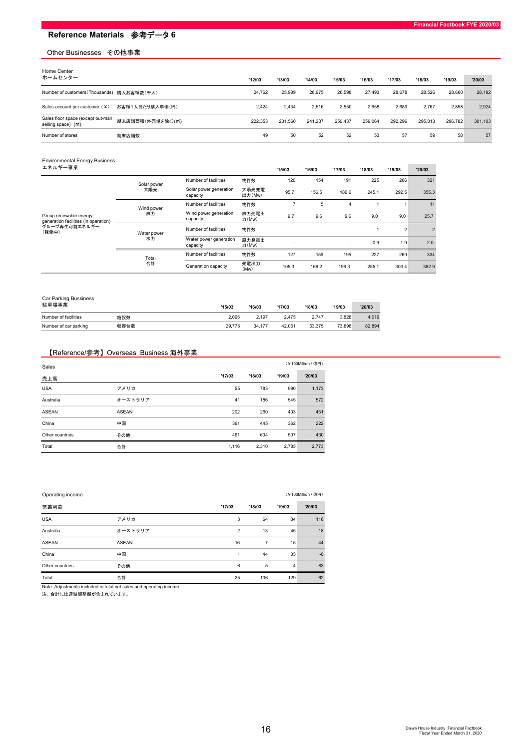#### Other Businesses その他事業

| Home Center                                                            |                    |         |         |         |         |         |         |         |         |         |
|------------------------------------------------------------------------|--------------------|---------|---------|---------|---------|---------|---------|---------|---------|---------|
| ホームセンター                                                                |                    | '12/03  | '13/03  | '14/03  | '15/03  | '16/03  | '17/03  | '18/03  | '19/03  | '20/03  |
| Number of customers (Thousands) 購入お客様数(千人)                             |                    | 24.762  | 25.989  | 26.975  | 26.598  | 27.493  | 28.678  | 28.526  | 28,660  | 28,192  |
| Sales account per customer (¥)                                         | お客様1人当たり購入単価(円)    | 2.424   | 2.434   | 2.516   | 2.550   | 2.658   | 2.689   | 2,767   | 2.858   | 2,924   |
| Sales floor space (except out-mall<br>selling space) (m <sup>*</sup> ) | 期末店舗面積(外売場を除く)(m2) | 222.353 | 231.560 | 241.237 | 250.437 | 259.064 | 292.296 | 295.813 | 296.782 | 301,103 |
| Number of stores                                                       | 期末店舗数              | 49      | 50      | 52      | 52      | 53      | 57      | 59      | 58      | 57      |

| <b>Environmental Energy Business</b><br>エネルギー事業                |             |                                    |                 | '15/03         | '16/03 | '17/03                   | '18/03 | '19/03         | '20/03         |
|----------------------------------------------------------------|-------------|------------------------------------|-----------------|----------------|--------|--------------------------|--------|----------------|----------------|
|                                                                | Solar power | Number of facilities               | 物件数             | 120            | 154    | 191                      | 225    | 266            | 321            |
|                                                                | 太陽光         | Solar power generation<br>capacity | 太陽光発電<br>出力(Mw) | 95.7           | 156.5  | 186.6                    | 245.1  | 292.5          | 355.3          |
|                                                                | Wind power  | Number of facilities               | 物件数             | $\overline{ }$ | 5      | 4                        |        |                | 11             |
| Group renewable energy<br>generation facilities (in operation) | 風力          | Wind power generation<br>capacity  | 風力発電出<br>力(Mw)  | 9.7            | 9.6    | 9.6                      | 9.0    | 9.0            | 25.7           |
| グループ再生可能エネルギー<br>(稼働中)                                         | Water power | Number of facilities               | 物件数             |                |        | ٠                        |        | $\overline{2}$ | $\overline{2}$ |
|                                                                | 水力          | Water power generation<br>capacity | 風力発電出<br>力(Mw)  |                |        | $\overline{\phantom{a}}$ | 0.9    | 1.9            | 2.0            |
|                                                                | Total       | Number of facilities               | 物件数             | 127            | 159    | 195                      | 227    | 269            | 334            |
|                                                                | 合計          | Generation capacity                | 発電出力<br>(Mw)    | 105.3          | 166.2  | 196.3                    | 255.1  | 303.4          | 382.9          |

| Car Parking Bussiness |      |        |        |        |        |        |        |
|-----------------------|------|--------|--------|--------|--------|--------|--------|
| 駐車場事業                 |      | '15/03 | '16/03 | '17/03 | '18/03 | '19/03 | '20/03 |
| Number of facilities  | 施設数  | 2.095  | 2.197  | 2.475  | 2.747  | 3.828  | 4,019  |
| Number of car parking | 収容台数 | 29.775 | 34.177 | 42.051 | 53.375 | 73.898 | 82,894 |

## 【Reference/参考】Overseas Business 海外事業

| Sales           |         |        |        |        | (¥100Million / 億円) |
|-----------------|---------|--------|--------|--------|--------------------|
| 売上高             |         | '17/03 | '18/03 | '19/03 | '20/03             |
| <b>USA</b>      | アメリカ    | 55     | 783    | 990    | 1,173              |
| Australia       | オーストラリア | 41     | 186    | 545    | 572                |
| <b>ASEAN</b>    | ASEAN   | 202    | 260    | 403    | 451                |
| China           | 中国      | 361    | 445    | 362    | 222                |
| Other countries | その他     | 461    | 634    | 507    | 430                |
| Total           | 合計      | 1,116  | 2,310  | 2,785  | 2,773              |

| Operating income |         | (¥100Million / 億円) |        |        |        |  |  |  |  |  |
|------------------|---------|--------------------|--------|--------|--------|--|--|--|--|--|
| 営業利益             |         | '17/03             | '18/03 | '19/03 | '20/03 |  |  |  |  |  |
| <b>USA</b>       | アメリカ    | 3                  | 64     | 84     | 116    |  |  |  |  |  |
| Australia        | オーストラリア | $-2$               | 13     | 45     | 18     |  |  |  |  |  |
| <b>ASEAN</b>     | ASEAN   | 16                 | 7      | 15     | 44     |  |  |  |  |  |
| China            | 中国      | 1                  | 44     | 35     | $-0$   |  |  |  |  |  |
| Other countries  | その他     | 6                  | $-5$   | $-4$   | $-83$  |  |  |  |  |  |
| Total            | 合計      | 25                 | 106    | 129    | 62     |  |  |  |  |  |

Note: Adjustments included in total net sales and operating income.

注: 合計には連結調整額が含まれています。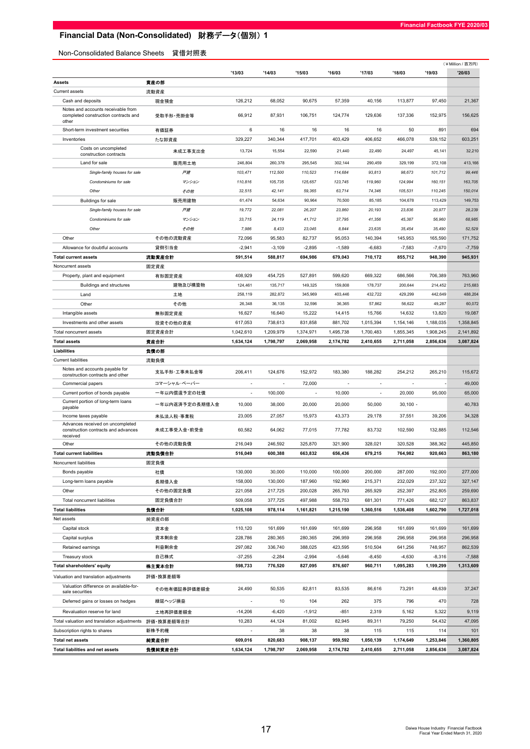# Financial Data (Non-Consolidated) 財務データ(個別) 1

Non-Consolidated Balance Sheets 貸借対照表

|                                                                                     |                |                          |           |           |           |           |            |           | (¥Million / 百万円) |
|-------------------------------------------------------------------------------------|----------------|--------------------------|-----------|-----------|-----------|-----------|------------|-----------|------------------|
|                                                                                     |                | '13/03                   | '14/03    | '15/03    | '16/03    | '17/03    | '18/03     | '19/03    | '20/03           |
| <b>Assets</b>                                                                       | 資産の部           |                          |           |           |           |           |            |           |                  |
| <b>Current assets</b>                                                               | 流動資産           |                          |           |           |           |           |            |           |                  |
| Cash and deposits                                                                   | 現金預金           | 126,212                  | 68,052    | 90,675    | 57,359    | 40,156    | 113,877    | 97,450    | 21,367           |
| Notes and accounts receivable from<br>completed construction contracts and<br>other | 受取手形·売掛金等      | 66,912                   | 87,931    | 106.751   | 124,774   | 129,636   | 137,336    | 152,975   | 156,625          |
| Short-term investment securities                                                    | 有価証券           | 6                        | 16        | 16        | 16        | 16        | 50         | 891       | 694              |
| Inventories                                                                         | たな卸資産          | 329,227                  | 340,344   | 417,701   | 403,429   | 406,652   | 466,078    | 539,152   | 603,251          |
| Costs on uncompleted<br>construction contracts                                      | 未成工事支出金        | 13,724                   | 15,554    | 22,590    | 21,440    | 22,490    | 24,497     | 45,141    | 32,210           |
| Land for sale                                                                       | 販売用土地          | 246,804                  | 260,378   | 295,545   | 302,144   | 290,459   | 329,199    | 372,108   | 413,166          |
| Single-family houses for sale                                                       | 戸建             | 103,471                  | 112,500   | 110,523   | 114,684   | 93,813    | 98,673     | 101,712   | 99,446           |
| Condominiums for sale                                                               | マンション          | 110,816                  | 105,735   | 125,657   | 123,745   | 119,960   | 124,994    | 160,151   | 163,705          |
| Other                                                                               | その他            | 32,515                   | 42,141    | 59,365    | 63,714    | 74,346    | 105,531    | 110,245   | 150,014          |
| Buildings for sale                                                                  | 販売用建物          | 61,474                   | 54,634    | 90,964    | 70,500    | 85,185    | 104,678    | 113,429   | 149,753          |
| Single-family houses for sale                                                       | 戸建             | 19,772                   | 22,081    | 26,207    | 23,860    | 20,193    | 23,836     | 20,977    | 28,239           |
| Condominiums for sale                                                               | マンション          | 33,715                   | 24,119    | 41,712    | 37,795    | 41,356    | 45,387     | 56,960    | 68,985           |
| Other                                                                               | その他            | 7,986                    | 8,433     | 23,045    | 8.844     | 23.635    | 35,454     | 35,490    | 52,529           |
| Other                                                                               | その他の流動資産       | 72,096                   | 95,583    | 82,737    | 95,053    | 140,394   | 145,953    | 165.590   | 171,752          |
| Allowance for doubtful accounts                                                     | 貸倒引当金          | $-2,941$                 | $-3,109$  | $-2,895$  | $-1,589$  | $-6,683$  | $-7,583$   | $-7,670$  | $-7,759$         |
| <b>Total current assets</b>                                                         | 流動資産合計         | 591,514                  | 588,817   | 694,986   | 679,043   | 710,172   | 855,712    | 948,390   | 945,931          |
| Noncurrent assets                                                                   | 固定資産           |                          |           |           |           |           |            |           |                  |
| Property, plant and equipment                                                       | 有形固定資産         | 408,929                  | 454,725   | 527,891   | 599,620   | 669,322   | 686,566    | 706,389   | 763,960          |
| Buildings and structures                                                            | 建物及び構築物        | 124,461                  | 135,717   | 149,325   | 159,808   | 178,737   | 200,644    | 214,452   | 215,683          |
| Land                                                                                | 土地             | 258,119                  | 282,872   | 345,969   | 403,446   | 432,722   | 429,299    | 442,649   | 488,204          |
| Other                                                                               | その他            | 26,348                   | 36,135    | 32,596    | 36,365    | 57,862    | 56,622     | 49,287    | 60,072           |
| Intangible assets                                                                   | 無形固定資産         | 16,627                   | 16,640    | 15,222    | 14,415    | 15,766    | 14,632     | 13,820    | 19,087           |
| Investments and other assets                                                        | 投資その他の資産       | 617,053                  | 738,613   | 831,858   | 881,702   | 1,015,394 | 1,154,146  | 1,188,035 | 1,358,845        |
| Total noncurrent assets                                                             | 固定資産合計         | 1,042,610                | 1,209,979 | 1,374,971 | 1,495,738 | 1,700,483 | 1,855,345  | 1,908,245 | 2,141,892        |
| <b>Total assets</b>                                                                 | 資産合計           | 1,634,124                | 1,798,797 | 2,069,958 | 2,174,782 | 2,410,655 | 2,711,058  | 2,856,636 | 3,087,824        |
| Liabilities                                                                         | 負債の部           |                          |           |           |           |           |            |           |                  |
| <b>Current liabilities</b>                                                          | 流動負債           |                          |           |           |           |           |            |           |                  |
| Notes and accounts payable for<br>construction contracts and other                  | 支払手形·工事未払金等    | 206,411                  | 124,676   | 152,972   | 183,380   | 188,282   | 254,212    | 265,210   | 115,672          |
| Commercial papers                                                                   | コマーシャル・ペーパー    |                          |           | 72,000    |           |           | ÷,         |           | 49,000           |
| Current portion of bonds payable                                                    | 一年以内償還予定の社債    | ÷,                       | 100,000   |           | 10,000    |           | 20,000     | 95,000    | 65,000           |
| Current portion of long-term loans                                                  |                |                          |           |           |           |           |            |           |                  |
| payable                                                                             | 一年以内返済予定の長期借入金 | 10,000                   | 38,000    | 20,000    | 20,000    | 50,000    | $30,100 -$ |           | 40,783           |
| Income taxes payable                                                                | 未払法人税·事業税      | 23,005                   | 27,057    | 15,973    | 43,373    | 29,178    | 37,551     | 39,206    | 34,328           |
| Advances received on uncompleted<br>construction contracts and advances<br>received | 未成工事受入金・前受金    | 60,582                   | 64,062    | 77,015    | 77,782    | 83,732    | 102,590    | 132,885   | 112,546          |
| Other                                                                               | その他の流動負債       | 216,049                  | 246,592   | 325,870   | 321,900   | 328,021   | 320,528    | 388,362   | 445,850          |
| <b>Total current liabilities</b>                                                    | 流動負債合計         | 516,049                  | 600,388   | 663,832   | 656,436   | 679,215   | 764,982    | 920,663   | 863.180          |
| Noncurrent liabilities                                                              | 固定負債           |                          |           |           |           |           |            |           |                  |
| Bonds payable                                                                       | 社債             | 130,000                  | 30,000    | 110,000   | 100,000   | 200,000   | 287,000    | 192,000   | 277,000          |
| Long-term loans payable                                                             | 長期借入金          | 158,000                  | 130,000   | 187,960   | 192,960   | 215,371   | 232,029    | 237,322   | 327,147          |
| Other                                                                               | その他の固定負債       | 221,058                  | 217,725   | 200,028   | 265,793   | 265,929   | 252,397    | 252,805   | 259,690          |
| Total noncurrent liabilities                                                        | 固定負債合計         | 509,058                  | 377,725   | 497,988   | 558,753   | 681,301   | 771,426    | 682,127   | 863,837          |
| <b>Total liabilities</b>                                                            | 負債合計           | 1,025,108                | 978,114   | 1,161,821 | 1,215,190 | 1,360,516 | 1,536,408  | 1,602,790 | 1,727,018        |
| Net assets                                                                          | 純資産の部          |                          |           |           |           |           |            |           |                  |
| Capital stock                                                                       | 資本金            | 110,120                  | 161,699   | 161,699   | 161,699   | 296,958   | 161,699    | 161,699   | 161,699          |
| Capital surplus                                                                     | 資本剰余金          | 228,786                  | 280,365   | 280,365   | 296,959   | 296,958   | 296,958    | 296,958   | 296,958          |
| Retained earnings                                                                   | 利益剰余金          | 297,082                  | 336,740   | 388,025   | 423,595   | 510,504   | 641,256    | 748,957   | 862,539          |
| Treasury stock                                                                      | 自己株式           | $-37,255$                | $-2,284$  | $-2,994$  | $-5,646$  | $-8,450$  | $-4,630$   | $-8,316$  | $-7,588$         |
| <b>Total shareholders' equity</b>                                                   | 株主資本合計         | 598,733                  | 776,520   | 827,095   | 876,607   | 960,711   | 1,095,283  | 1,199,299 | 1,313,609        |
| Valuation and translation adjustments                                               | 評価・換算差額等       |                          |           |           |           |           |            |           |                  |
| Valuation difference on available-for-<br>sale securities                           | その他有価証券評価差額金   | 24,490                   | 50,535    | 82,811    | 83,535    | 86,616    | 73,291     | 48,639    | 37,247           |
| Deferred gains or losses on hedges                                                  | 繰延ヘッジ損益        |                          | 10        | 104       | 262       | 375       | 796        | 470       | 728              |
| Revaluation reserve for land                                                        | 土地再評価差額金       | $-14,206$                | $-6,420$  | $-1,912$  | $-851$    | 2,319     | 5,162      | 5,322     | 9,119            |
| Total valuation and translation adjustments                                         | 評価・換算差額等合計     | 10,283                   | 44,124    | 81,002    | 82,945    | 89,311    | 79,250     | 54,432    | 47,095           |
| Subscription rights to shares                                                       | 新株予約権          | $\overline{\phantom{a}}$ | 38        | 38        | 38        | 115       | 115        | 114       | 101              |
| <b>Total net assets</b>                                                             | 純資産合計          | 609,016                  | 820,683   | 908,137   | 959,592   | 1,050,139 | 1,174,649  | 1,253,846 | 1,360,805        |
| <b>Total liabilities and net assets</b>                                             | 負債純資産合計        | 1,634,124                | 1,798,797 | 2,069,958 | 2,174,782 | 2,410,655 | 2,711,058  | 2,856,636 | 3,087,824        |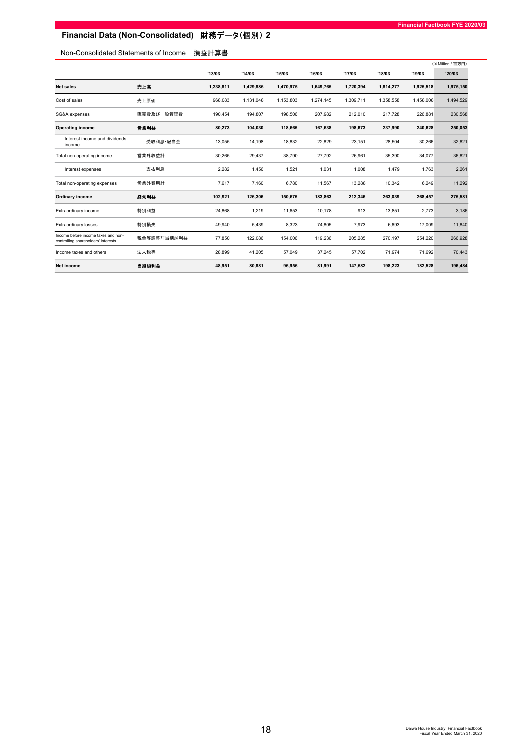# Financial Data (Non-Consolidated) 財務データ(個別) 2

## Non-Consolidated Statements of Income 損益計算書

|                                                                            |             |           |           |           |           |           |           |           | (¥Million / 百万円) |
|----------------------------------------------------------------------------|-------------|-----------|-----------|-----------|-----------|-----------|-----------|-----------|------------------|
|                                                                            |             | '13/03    | '14/03    | '15/03    | '16/03    | '17/03    | '18/03    | '19/03    | '20/03           |
| <b>Net sales</b>                                                           | 売上高         | 1,238,811 | 1,429,886 | 1,470,975 | 1,649,765 | 1,720,394 | 1,814,277 | 1,925,518 | 1,975,150        |
| Cost of sales                                                              | 売上原価        | 968,083   | 1,131,048 | 1,153,803 | 1,274,145 | 1,309,711 | 1,358,558 | 1,458,008 | 1,494,529        |
| SG&A expenses                                                              | 販売費及び一般管理費  | 190,454   | 194,807   | 198,506   | 207,982   | 212,010   | 217,728   | 226,881   | 230,568          |
| <b>Operating income</b>                                                    | 営業利益        | 80,273    | 104,030   | 118,665   | 167,638   | 198,673   | 237,990   | 240,628   | 250,053          |
| Interest income and dividends<br>income                                    | 受取利息·配当金    | 13,055    | 14,198    | 18,832    | 22,829    | 23,151    | 28,504    | 30,266    | 32,821           |
| Total non-operating income                                                 | 営業外収益計      | 30,265    | 29,437    | 38,790    | 27,792    | 26,961    | 35,390    | 34,077    | 36,821           |
| Interest expenses                                                          | 支払利息        | 2,282     | 1,456     | 1,521     | 1,031     | 1,008     | 1,479     | 1,763     | 2,261            |
| Total non-operating expenses                                               | 営業外費用計      | 7,617     | 7,160     | 6,780     | 11,567    | 13,288    | 10,342    | 6,249     | 11,292           |
| Ordinary income                                                            | 経常利益        | 102,921   | 126,306   | 150,675   | 183,863   | 212,346   | 263,039   | 268,457   | 275,581          |
| Extraordinary income                                                       | 特別利益        | 24,868    | 1,219     | 11,653    | 10,178    | 913       | 13,851    | 2,773     | 3,186            |
| Extraordinary losses                                                       | 特別損失        | 49,940    | 5,439     | 8,323     | 74,805    | 7,973     | 6,693     | 17,009    | 11,840           |
| Income before income taxes and non-<br>controlling shareholders' interests | 税金等調整前当期純利益 | 77,850    | 122,086   | 154,006   | 119,236   | 205,285   | 270,197   | 254,220   | 266,928          |
| Income taxes and others                                                    | 法人税等        | 28.899    | 41,205    | 57.049    | 37,245    | 57.702    | 71,974    | 71,692    | 70,443           |
| Net income                                                                 | 当期純利益       | 48,951    | 80,881    | 96,956    | 81,991    | 147,582   | 198,223   | 182,528   | 196,484          |